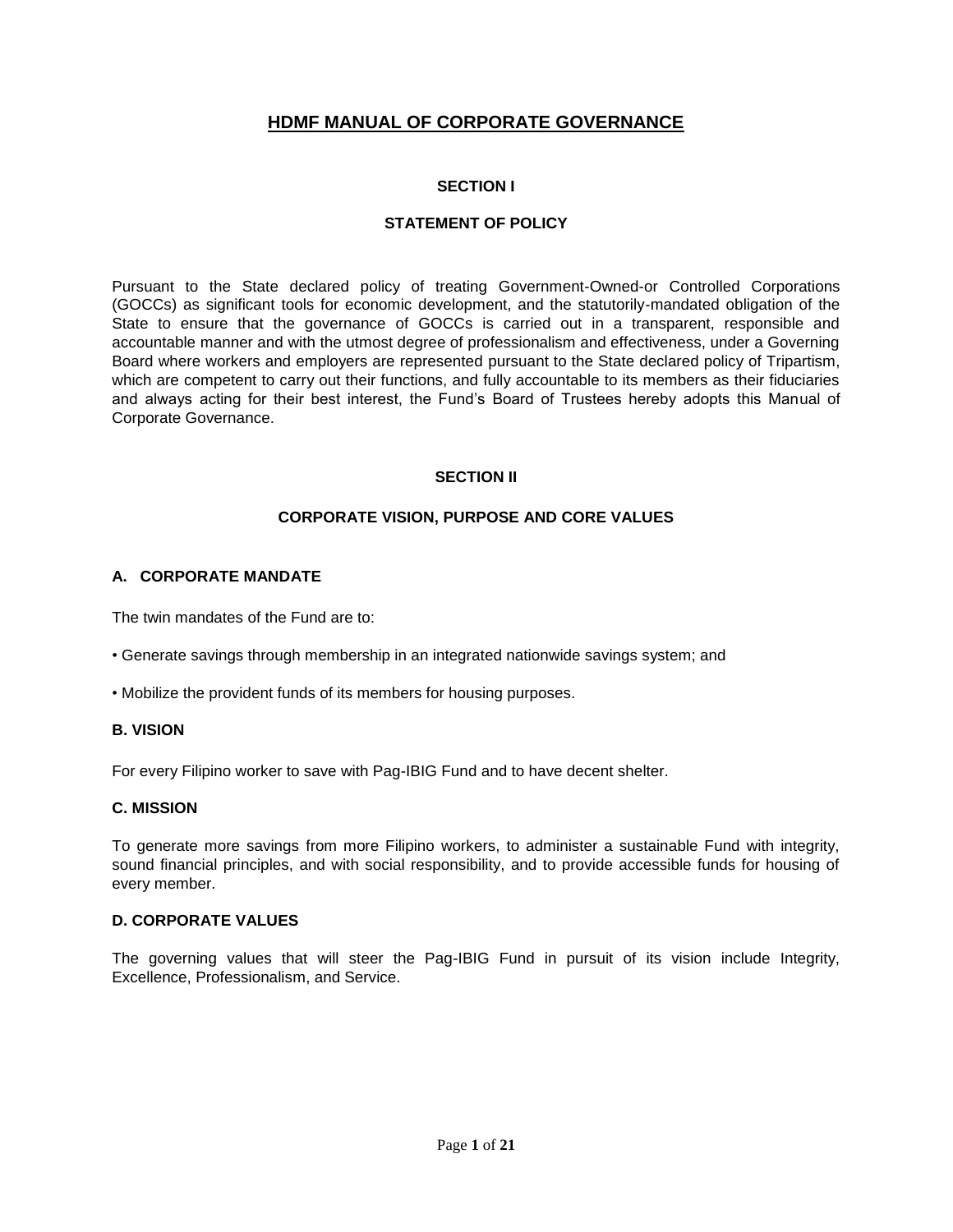# **HDMF MANUAL OF CORPORATE GOVERNANCE**

## **SECTION I**

## **STATEMENT OF POLICY**

Pursuant to the State declared policy of treating Government-Owned-or Controlled Corporations (GOCCs) as significant tools for economic development, and the statutorily-mandated obligation of the State to ensure that the governance of GOCCs is carried out in a transparent, responsible and accountable manner and with the utmost degree of professionalism and effectiveness, under a Governing Board where workers and employers are represented pursuant to the State declared policy of Tripartism, which are competent to carry out their functions, and fully accountable to its members as their fiduciaries and always acting for their best interest, the Fund's Board of Trustees hereby adopts this Manual of Corporate Governance.

## **SECTION II**

## **CORPORATE VISION, PURPOSE AND CORE VALUES**

### **A. CORPORATE MANDATE**

The twin mandates of the Fund are to:

- Generate savings through membership in an integrated nationwide savings system; and
- Mobilize the provident funds of its members for housing purposes.

#### **B. VISION**

For every Filipino worker to save with Pag-IBIG Fund and to have decent shelter.

## **C. MISSION**

To generate more savings from more Filipino workers, to administer a sustainable Fund with integrity, sound financial principles, and with social responsibility, and to provide accessible funds for housing of every member.

#### **D. CORPORATE VALUES**

The governing values that will steer the Pag-IBIG Fund in pursuit of its vision include Integrity, Excellence, Professionalism, and Service.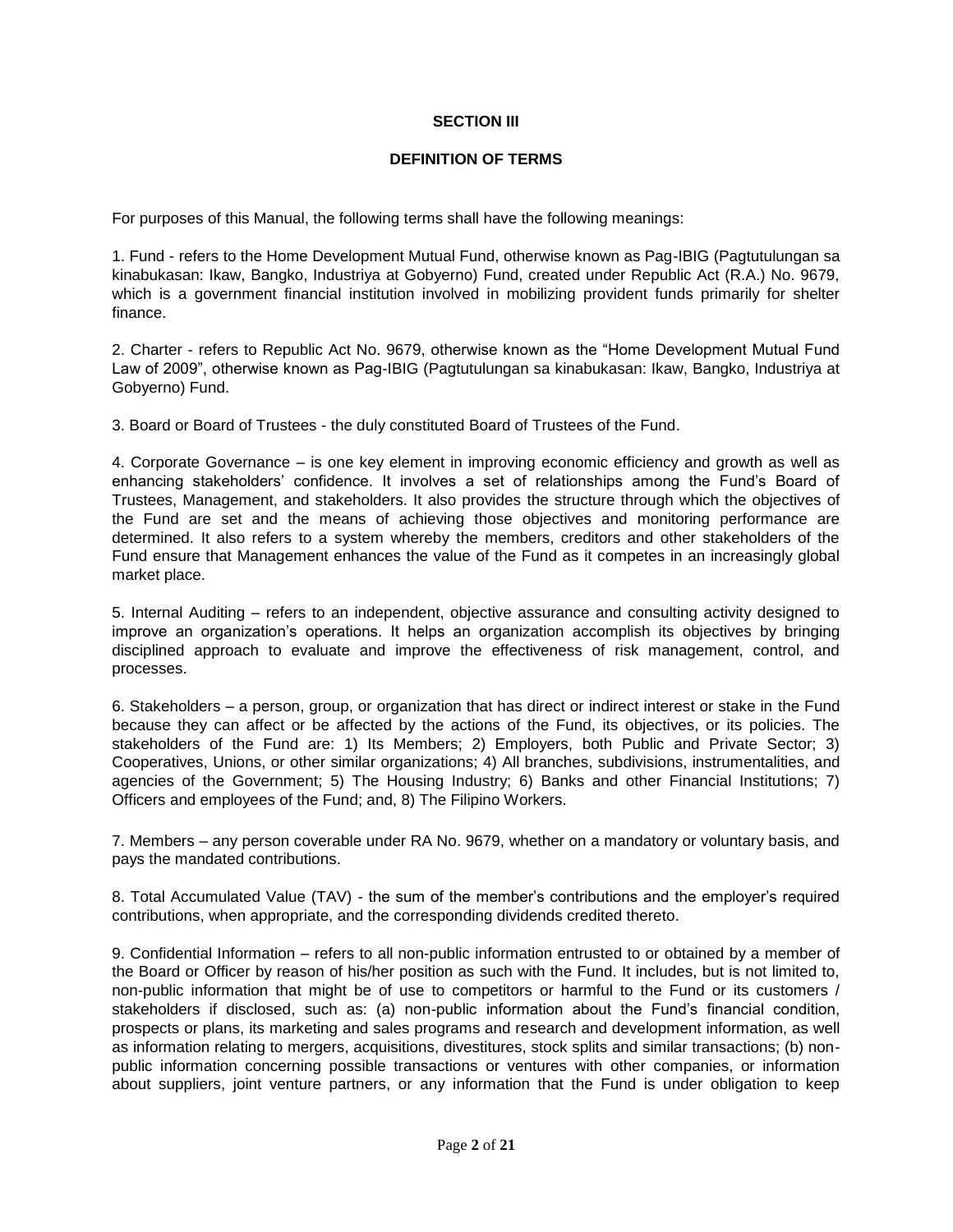### **SECTION III**

### **DEFINITION OF TERMS**

For purposes of this Manual, the following terms shall have the following meanings:

1. Fund - refers to the Home Development Mutual Fund, otherwise known as Pag-IBIG (Pagtutulungan sa kinabukasan: Ikaw, Bangko, Industriya at Gobyerno) Fund, created under Republic Act (R.A.) No. 9679, which is a government financial institution involved in mobilizing provident funds primarily for shelter finance.

2. Charter - refers to Republic Act No. 9679, otherwise known as the "Home Development Mutual Fund Law of 2009", otherwise known as Pag-IBIG (Pagtutulungan sa kinabukasan: Ikaw, Bangko, Industriya at Gobyerno) Fund.

3. Board or Board of Trustees - the duly constituted Board of Trustees of the Fund.

4. Corporate Governance – is one key element in improving economic efficiency and growth as well as enhancing stakeholders' confidence. It involves a set of relationships among the Fund's Board of Trustees, Management, and stakeholders. It also provides the structure through which the objectives of the Fund are set and the means of achieving those objectives and monitoring performance are determined. It also refers to a system whereby the members, creditors and other stakeholders of the Fund ensure that Management enhances the value of the Fund as it competes in an increasingly global market place.

5. Internal Auditing – refers to an independent, objective assurance and consulting activity designed to improve an organization's operations. It helps an organization accomplish its objectives by bringing disciplined approach to evaluate and improve the effectiveness of risk management, control, and processes.

6. Stakeholders – a person, group, or organization that has direct or indirect interest or stake in the Fund because they can affect or be affected by the actions of the Fund, its objectives, or its policies. The stakeholders of the Fund are: 1) Its Members; 2) Employers, both Public and Private Sector; 3) Cooperatives, Unions, or other similar organizations; 4) All branches, subdivisions, instrumentalities, and agencies of the Government; 5) The Housing Industry; 6) Banks and other Financial Institutions; 7) Officers and employees of the Fund; and, 8) The Filipino Workers.

7. Members – any person coverable under RA No. 9679, whether on a mandatory or voluntary basis, and pays the mandated contributions.

8. Total Accumulated Value (TAV) - the sum of the member's contributions and the employer's required contributions, when appropriate, and the corresponding dividends credited thereto.

9. Confidential Information – refers to all non-public information entrusted to or obtained by a member of the Board or Officer by reason of his/her position as such with the Fund. It includes, but is not limited to, non-public information that might be of use to competitors or harmful to the Fund or its customers / stakeholders if disclosed, such as: (a) non-public information about the Fund's financial condition, prospects or plans, its marketing and sales programs and research and development information, as well as information relating to mergers, acquisitions, divestitures, stock splits and similar transactions; (b) nonpublic information concerning possible transactions or ventures with other companies, or information about suppliers, joint venture partners, or any information that the Fund is under obligation to keep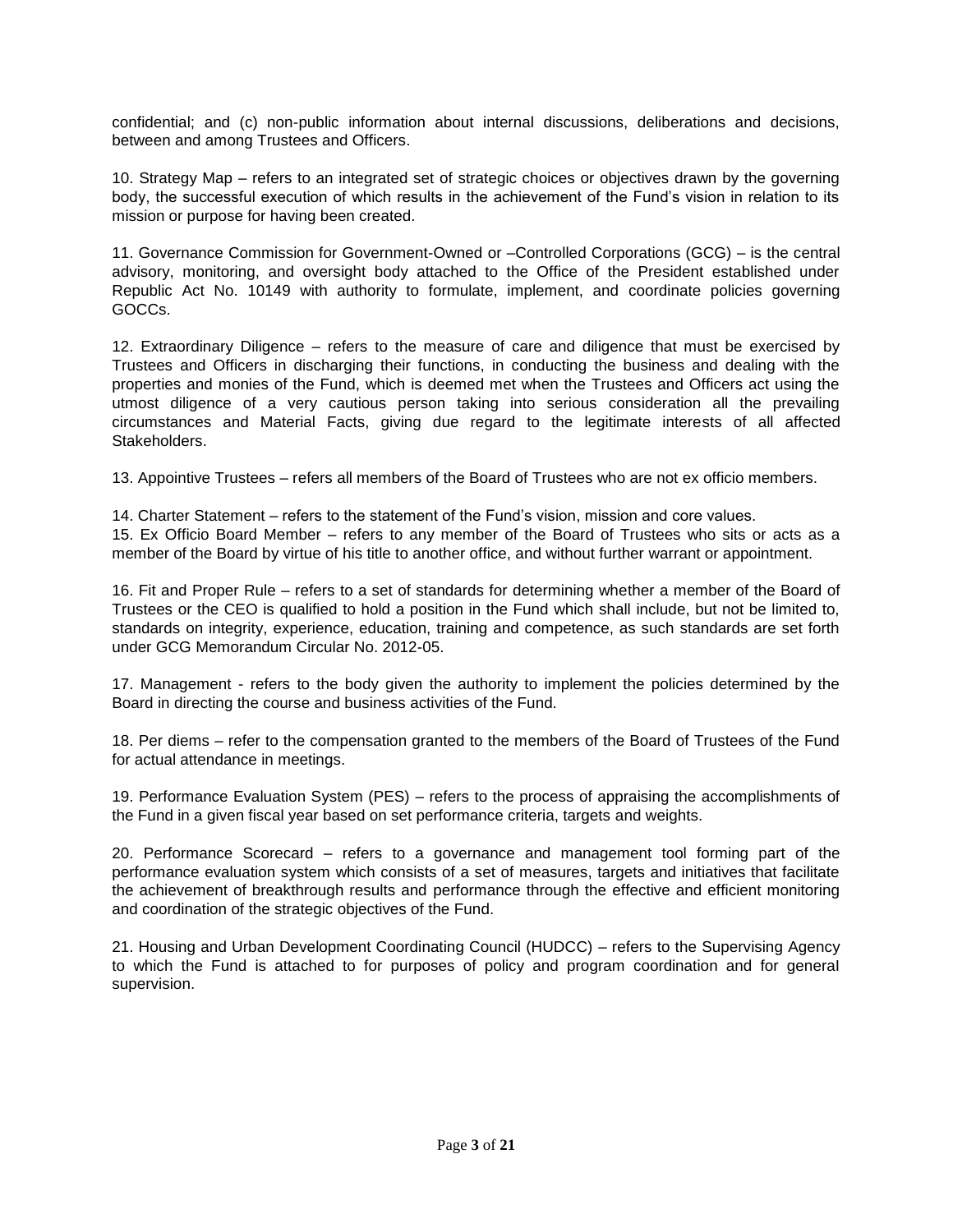confidential; and (c) non-public information about internal discussions, deliberations and decisions, between and among Trustees and Officers.

10. Strategy Map – refers to an integrated set of strategic choices or objectives drawn by the governing body, the successful execution of which results in the achievement of the Fund's vision in relation to its mission or purpose for having been created.

11. Governance Commission for Government-Owned or –Controlled Corporations (GCG) – is the central advisory, monitoring, and oversight body attached to the Office of the President established under Republic Act No. 10149 with authority to formulate, implement, and coordinate policies governing GOCCs.

12. Extraordinary Diligence – refers to the measure of care and diligence that must be exercised by Trustees and Officers in discharging their functions, in conducting the business and dealing with the properties and monies of the Fund, which is deemed met when the Trustees and Officers act using the utmost diligence of a very cautious person taking into serious consideration all the prevailing circumstances and Material Facts, giving due regard to the legitimate interests of all affected **Stakeholders** 

13. Appointive Trustees – refers all members of the Board of Trustees who are not ex officio members.

14. Charter Statement – refers to the statement of the Fund's vision, mission and core values.

15. Ex Officio Board Member – refers to any member of the Board of Trustees who sits or acts as a member of the Board by virtue of his title to another office, and without further warrant or appointment.

16. Fit and Proper Rule – refers to a set of standards for determining whether a member of the Board of Trustees or the CEO is qualified to hold a position in the Fund which shall include, but not be limited to, standards on integrity, experience, education, training and competence, as such standards are set forth under GCG Memorandum Circular No. 2012-05.

17. Management - refers to the body given the authority to implement the policies determined by the Board in directing the course and business activities of the Fund.

18. Per diems – refer to the compensation granted to the members of the Board of Trustees of the Fund for actual attendance in meetings.

19. Performance Evaluation System (PES) – refers to the process of appraising the accomplishments of the Fund in a given fiscal year based on set performance criteria, targets and weights.

20. Performance Scorecard – refers to a governance and management tool forming part of the performance evaluation system which consists of a set of measures, targets and initiatives that facilitate the achievement of breakthrough results and performance through the effective and efficient monitoring and coordination of the strategic objectives of the Fund.

21. Housing and Urban Development Coordinating Council (HUDCC) – refers to the Supervising Agency to which the Fund is attached to for purposes of policy and program coordination and for generaI supervision.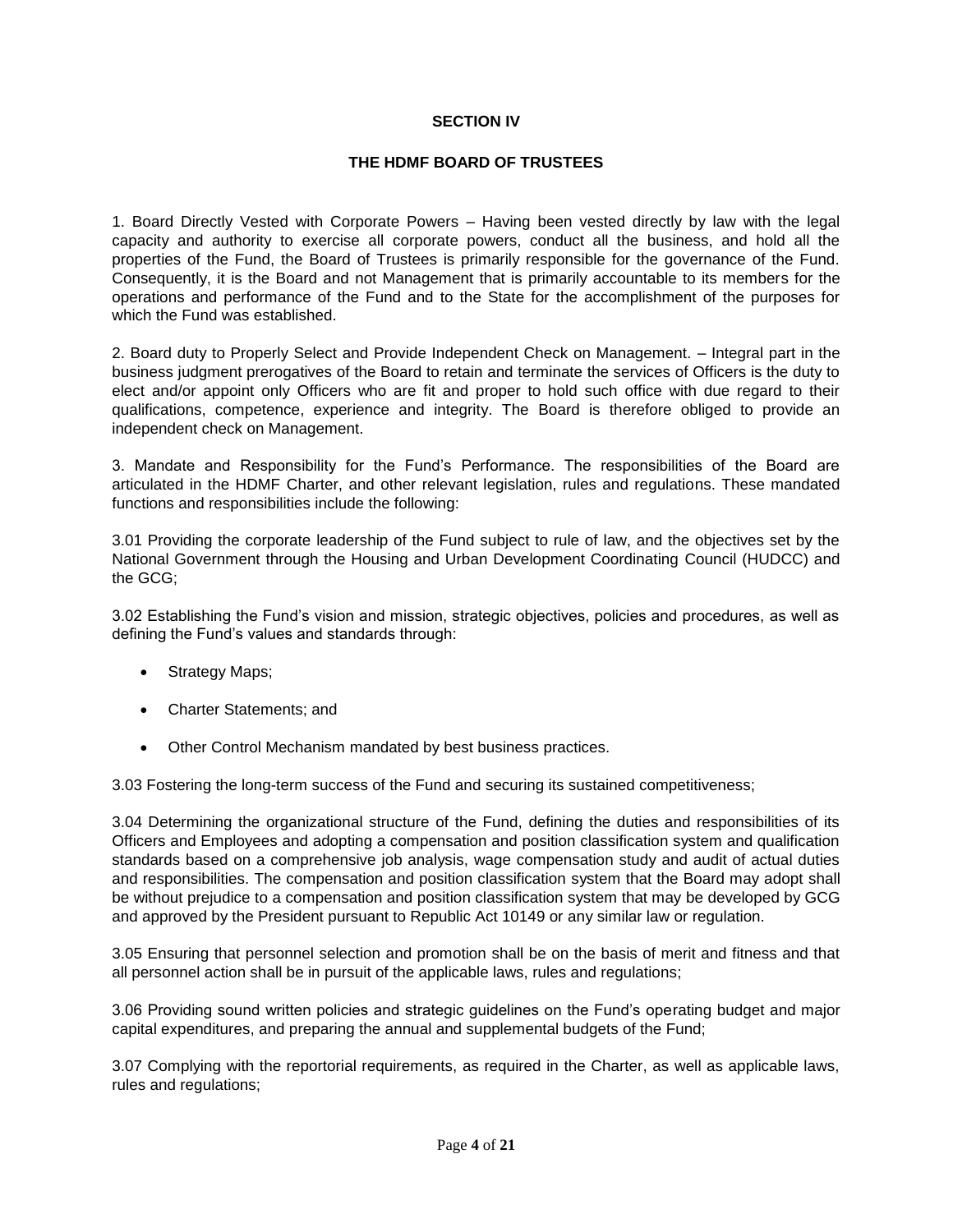## **SECTION IV**

## **THE HDMF BOARD OF TRUSTEES**

1. Board Directly Vested with Corporate Powers – Having been vested directly by law with the legal capacity and authority to exercise all corporate powers, conduct all the business, and hold all the properties of the Fund, the Board of Trustees is primarily responsible for the governance of the Fund. Consequently, it is the Board and not Management that is primarily accountable to its members for the operations and performance of the Fund and to the State for the accomplishment of the purposes for which the Fund was established.

2. Board duty to Properly Select and Provide Independent Check on Management. – Integral part in the business judgment prerogatives of the Board to retain and terminate the services of Officers is the duty to elect and/or appoint only Officers who are fit and proper to hold such office with due regard to their qualifications, competence, experience and integrity. The Board is therefore obliged to provide an independent check on Management.

3. Mandate and Responsibility for the Fund's Performance. The responsibilities of the Board are articulated in the HDMF Charter, and other relevant legislation, rules and regulations. These mandated functions and responsibilities include the following:

3.01 Providing the corporate leadership of the Fund subject to rule of law, and the objectives set by the National Government through the Housing and Urban Development Coordinating Council (HUDCC) and the GCG;

3.02 Establishing the Fund's vision and mission, strategic objectives, policies and procedures, as well as defining the Fund's values and standards through:

- Strategy Maps;
- Charter Statements; and
- Other Control Mechanism mandated by best business practices.

3.03 Fostering the long-term success of the Fund and securing its sustained competitiveness;

3.04 Determining the organizational structure of the Fund, defining the duties and responsibilities of its Officers and Employees and adopting a compensation and position classification system and qualification standards based on a comprehensive job analysis, wage compensation study and audit of actual duties and responsibilities. The compensation and position classification system that the Board may adopt shall be without prejudice to a compensation and position classification system that may be developed by GCG and approved by the President pursuant to Republic Act 10149 or any similar law or regulation.

3.05 Ensuring that personnel selection and promotion shall be on the basis of merit and fitness and that all personnel action shall be in pursuit of the applicable laws, rules and regulations;

3.06 Providing sound written policies and strategic guidelines on the Fund's operating budget and major capital expenditures, and preparing the annual and supplemental budgets of the Fund;

3.07 Complying with the reportorial requirements, as required in the Charter, as well as applicable laws, rules and regulations;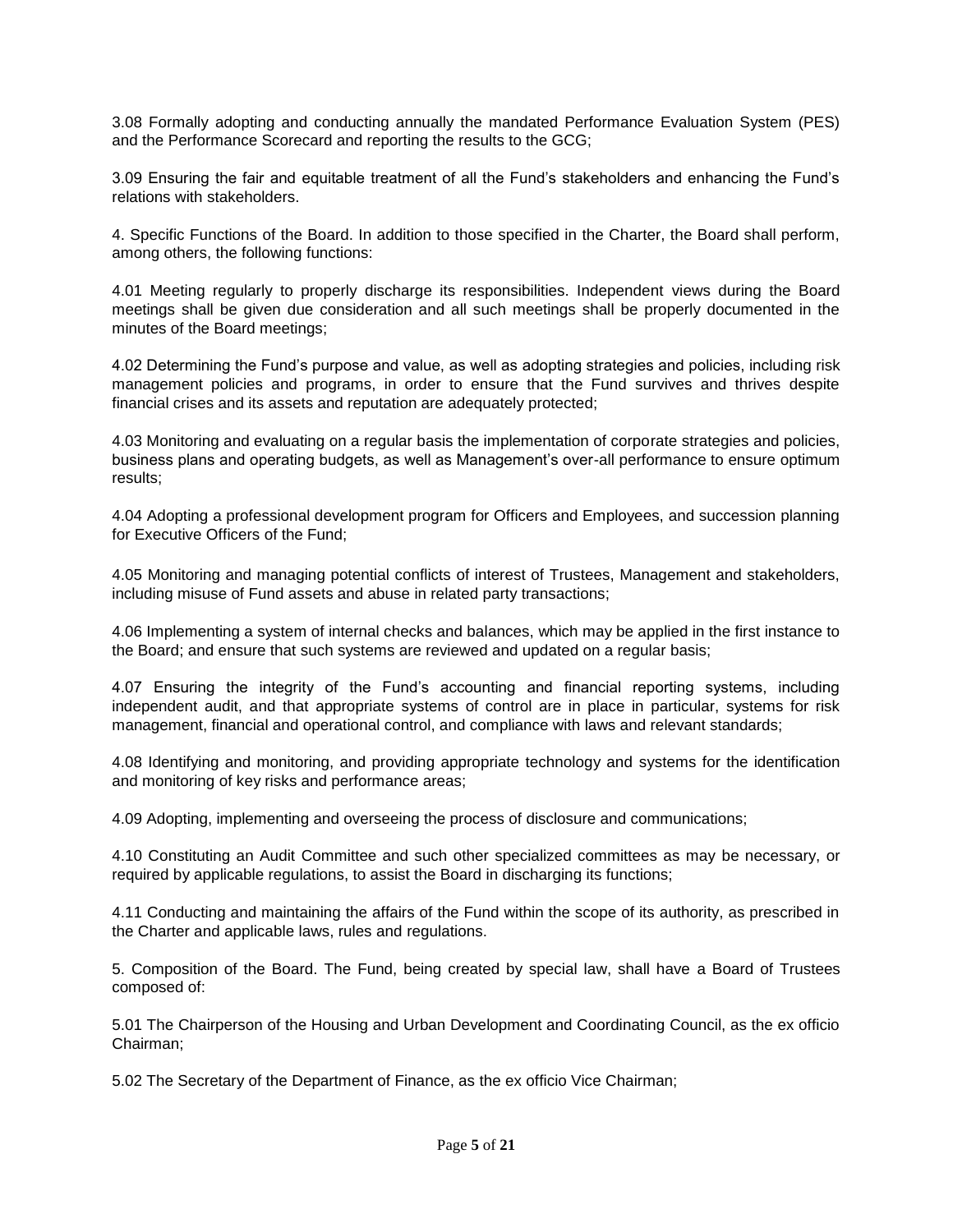3.08 Formally adopting and conducting annually the mandated Performance Evaluation System (PES) and the Performance Scorecard and reporting the results to the GCG;

3.09 Ensuring the fair and equitable treatment of all the Fund's stakeholders and enhancing the Fund's relations with stakeholders.

4. Specific Functions of the Board. In addition to those specified in the Charter, the Board shall perform, among others, the following functions:

4.01 Meeting regularly to properly discharge its responsibilities. Independent views during the Board meetings shall be given due consideration and all such meetings shall be properly documented in the minutes of the Board meetings;

4.02 Determining the Fund's purpose and value, as well as adopting strategies and policies, including risk management policies and programs, in order to ensure that the Fund survives and thrives despite financial crises and its assets and reputation are adequately protected;

4.03 Monitoring and evaluating on a regular basis the implementation of corporate strategies and policies, business plans and operating budgets, as well as Management's over-all performance to ensure optimum results;

4.04 Adopting a professional development program for Officers and Employees, and succession planning for Executive Officers of the Fund;

4.05 Monitoring and managing potential conflicts of interest of Trustees, Management and stakeholders, including misuse of Fund assets and abuse in related party transactions;

4.06 Implementing a system of internal checks and balances, which may be applied in the first instance to the Board; and ensure that such systems are reviewed and updated on a regular basis;

4.07 Ensuring the integrity of the Fund's accounting and financial reporting systems, including independent audit, and that appropriate systems of control are in place in particular, systems for risk management, financial and operational control, and compliance with laws and relevant standards;

4.08 Identifying and monitoring, and providing appropriate technology and systems for the identification and monitoring of key risks and performance areas;

4.09 Adopting, implementing and overseeing the process of disclosure and communications;

4.10 Constituting an Audit Committee and such other specialized committees as may be necessary, or required by applicable regulations, to assist the Board in discharging its functions;

4.11 Conducting and maintaining the affairs of the Fund within the scope of its authority, as prescribed in the Charter and applicable laws, rules and regulations.

5. Composition of the Board. The Fund, being created by special law, shall have a Board of Trustees composed of:

5.01 The Chairperson of the Housing and Urban Development and Coordinating Council, as the ex officio Chairman;

5.02 The Secretary of the Department of Finance, as the ex officio Vice Chairman;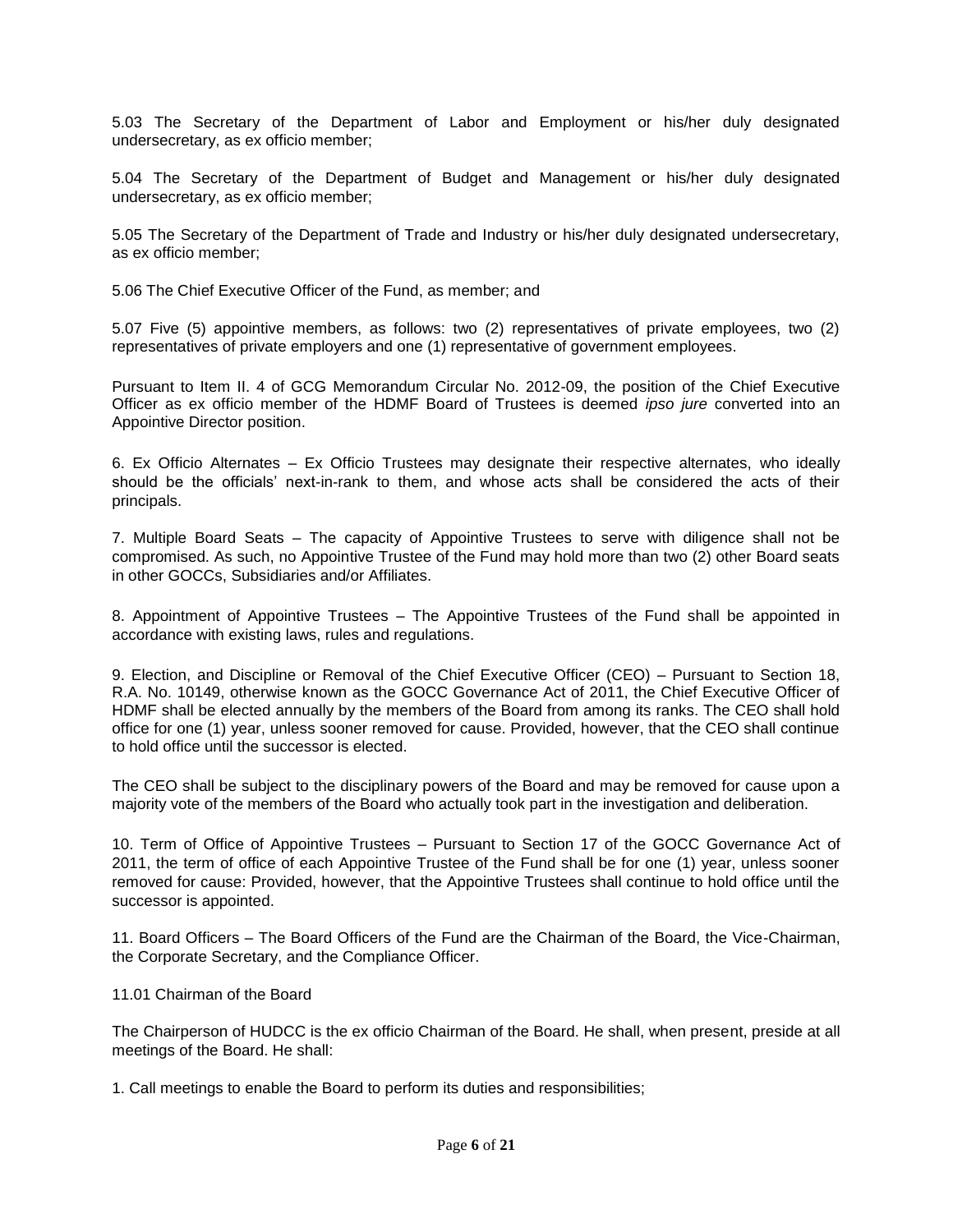5.03 The Secretary of the Department of Labor and Employment or his/her duly designated undersecretary, as ex officio member;

5.04 The Secretary of the Department of Budget and Management or his/her duly designated undersecretary, as ex officio member;

5.05 The Secretary of the Department of Trade and Industry or his/her duly designated undersecretary, as ex officio member;

5.06 The Chief Executive Officer of the Fund, as member; and

5.07 Five (5) appointive members, as follows: two (2) representatives of private employees, two (2) representatives of private employers and one (1) representative of government employees.

Pursuant to Item II. 4 of GCG Memorandum Circular No. 2012-09, the position of the Chief Executive Officer as ex officio member of the HDMF Board of Trustees is deemed *ipso jure* converted into an Appointive Director position.

6. Ex Officio Alternates – Ex Officio Trustees may designate their respective alternates, who ideally should be the officials' next-in-rank to them, and whose acts shall be considered the acts of their principals.

7. Multiple Board Seats – The capacity of Appointive Trustees to serve with diligence shall not be compromised. As such, no Appointive Trustee of the Fund may hold more than two (2) other Board seats in other GOCCs, Subsidiaries and/or Affiliates.

8. Appointment of Appointive Trustees – The Appointive Trustees of the Fund shall be appointed in accordance with existing laws, rules and regulations.

9. Election, and Discipline or Removal of the Chief Executive Officer (CEO) – Pursuant to Section 18, R.A. No. 10149, otherwise known as the GOCC Governance Act of 2011, the Chief Executive Officer of HDMF shall be elected annually by the members of the Board from among its ranks. The CEO shall hold office for one (1) year, unless sooner removed for cause. Provided, however, that the CEO shall continue to hold office until the successor is elected.

The CEO shall be subject to the disciplinary powers of the Board and may be removed for cause upon a majority vote of the members of the Board who actually took part in the investigation and deliberation.

10. Term of Office of Appointive Trustees – Pursuant to Section 17 of the GOCC Governance Act of 2011, the term of office of each Appointive Trustee of the Fund shall be for one (1) year, unless sooner removed for cause: Provided, however, that the Appointive Trustees shall continue to hold office until the successor is appointed.

11. Board Officers – The Board Officers of the Fund are the Chairman of the Board, the Vice-Chairman, the Corporate Secretary, and the Compliance Officer.

11.01 Chairman of the Board

The Chairperson of HUDCC is the ex officio Chairman of the Board. He shall, when present, preside at all meetings of the Board. He shall:

1. Call meetings to enable the Board to perform its duties and responsibilities;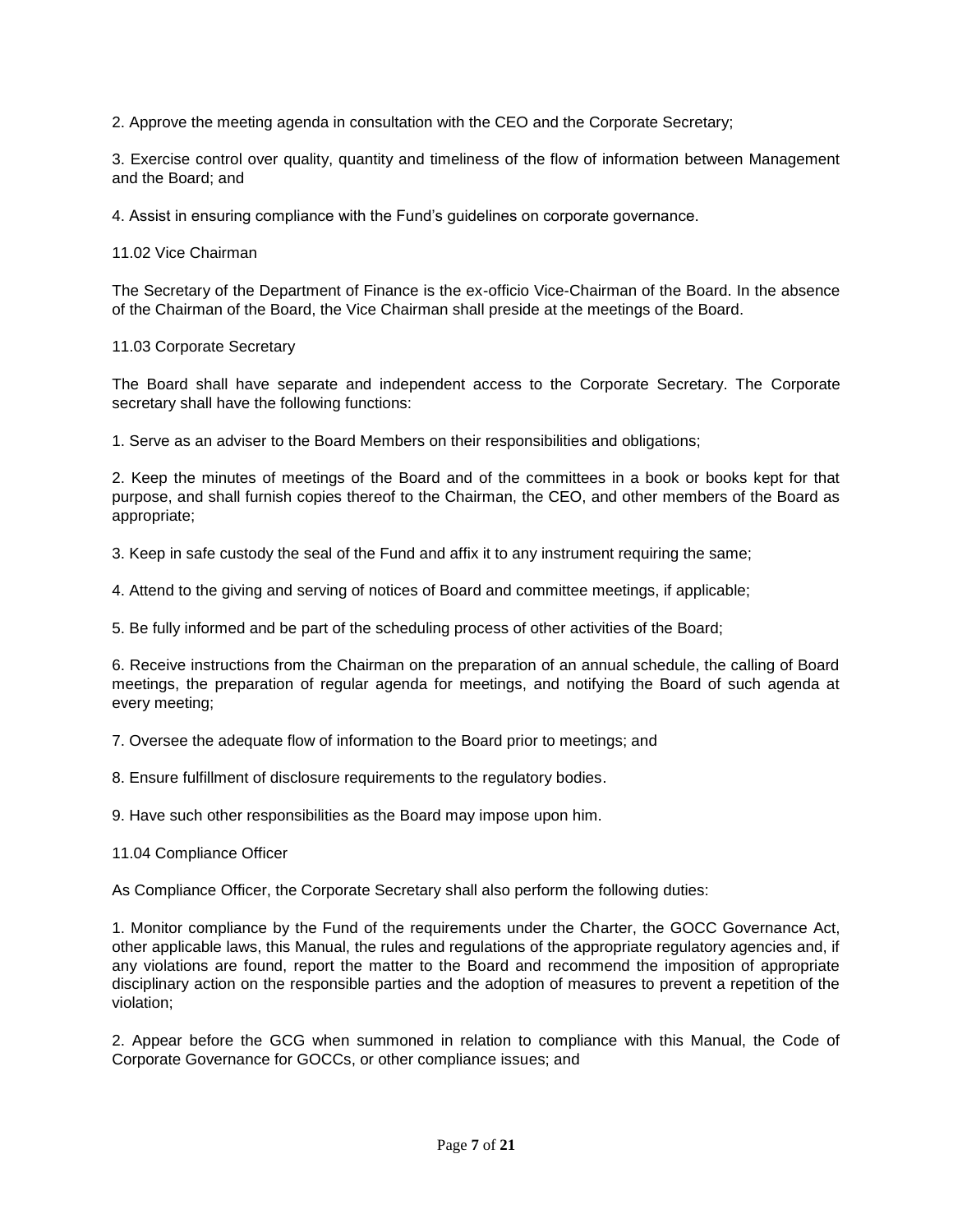2. Approve the meeting agenda in consultation with the CEO and the Corporate Secretary;

3. Exercise control over quality, quantity and timeliness of the flow of information between Management and the Board; and

4. Assist in ensuring compliance with the Fund's guidelines on corporate governance.

11.02 Vice Chairman

The Secretary of the Department of Finance is the ex-officio Vice-Chairman of the Board. In the absence of the Chairman of the Board, the Vice Chairman shall preside at the meetings of the Board.

### 11.03 Corporate Secretary

The Board shall have separate and independent access to the Corporate Secretary. The Corporate secretary shall have the following functions:

1. Serve as an adviser to the Board Members on their responsibilities and obligations;

2. Keep the minutes of meetings of the Board and of the committees in a book or books kept for that purpose, and shall furnish copies thereof to the Chairman, the CEO, and other members of the Board as appropriate;

3. Keep in safe custody the seal of the Fund and affix it to any instrument requiring the same;

4. Attend to the giving and serving of notices of Board and committee meetings, if applicable;

5. Be fully informed and be part of the scheduling process of other activities of the Board;

6. Receive instructions from the Chairman on the preparation of an annual schedule, the calling of Board meetings, the preparation of regular agenda for meetings, and notifying the Board of such agenda at every meeting;

7. Oversee the adequate flow of information to the Board prior to meetings; and

8. Ensure fulfillment of disclosure requirements to the regulatory bodies.

9. Have such other responsibilities as the Board may impose upon him.

11.04 Compliance Officer

As Compliance Officer, the Corporate Secretary shall also perform the following duties:

1. Monitor compliance by the Fund of the requirements under the Charter, the GOCC Governance Act, other applicable laws, this Manual, the rules and regulations of the appropriate regulatory agencies and, if any violations are found, report the matter to the Board and recommend the imposition of appropriate disciplinary action on the responsible parties and the adoption of measures to prevent a repetition of the violation;

2. Appear before the GCG when summoned in relation to compliance with this Manual, the Code of Corporate Governance for GOCCs, or other compliance issues; and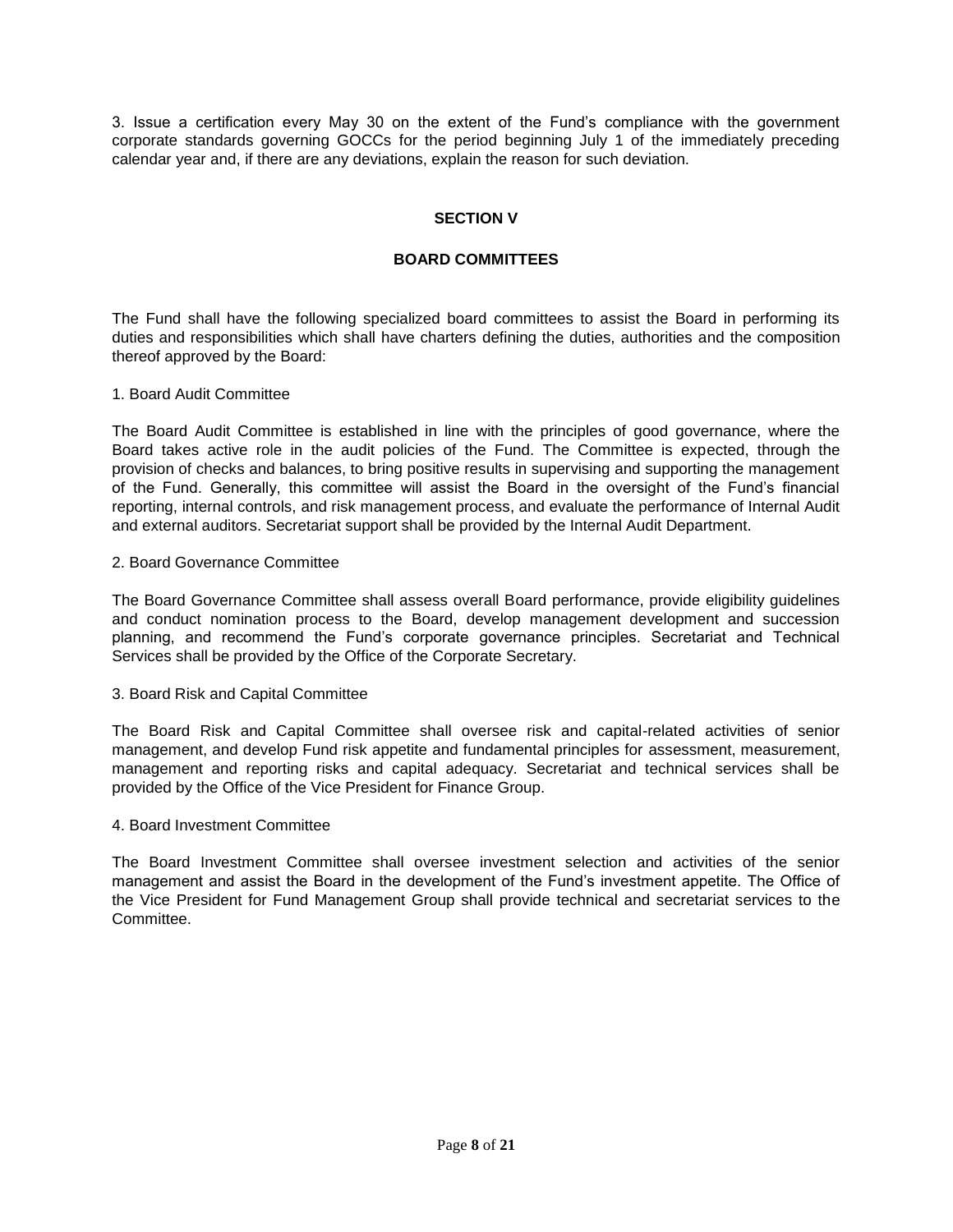3. Issue a certification every May 30 on the extent of the Fund's compliance with the government corporate standards governing GOCCs for the period beginning July 1 of the immediately preceding calendar year and, if there are any deviations, explain the reason for such deviation.

## **SECTION V**

## **BOARD COMMITTEES**

The Fund shall have the following specialized board committees to assist the Board in performing its duties and responsibilities which shall have charters defining the duties, authorities and the composition thereof approved by the Board:

### 1. Board Audit Committee

The Board Audit Committee is established in line with the principles of good governance, where the Board takes active role in the audit policies of the Fund. The Committee is expected, through the provision of checks and balances, to bring positive results in supervising and supporting the management of the Fund. Generally, this committee will assist the Board in the oversight of the Fund's financial reporting, internal controls, and risk management process, and evaluate the performance of Internal Audit and external auditors. Secretariat support shall be provided by the Internal Audit Department.

### 2. Board Governance Committee

The Board Governance Committee shall assess overall Board performance, provide eligibility guidelines and conduct nomination process to the Board, develop management development and succession planning, and recommend the Fund's corporate governance principles. Secretariat and Technical Services shall be provided by the Office of the Corporate Secretary.

#### 3. Board Risk and Capital Committee

The Board Risk and Capital Committee shall oversee risk and capital-related activities of senior management, and develop Fund risk appetite and fundamental principles for assessment, measurement, management and reporting risks and capital adequacy. Secretariat and technical services shall be provided by the Office of the Vice President for Finance Group.

#### 4. Board Investment Committee

The Board Investment Committee shall oversee investment selection and activities of the senior management and assist the Board in the development of the Fund's investment appetite. The Office of the Vice President for Fund Management Group shall provide technical and secretariat services to the Committee.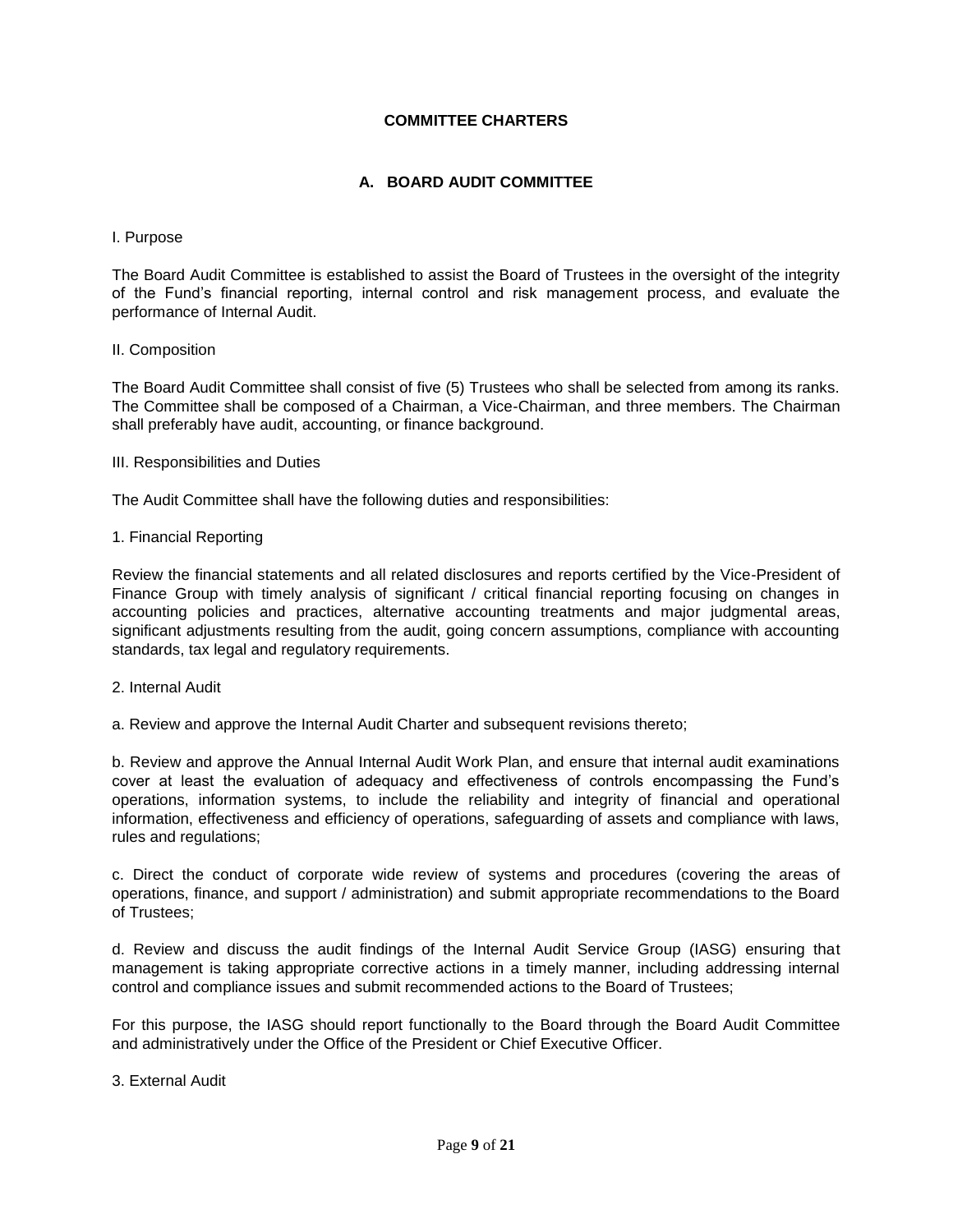## **COMMITTEE CHARTERS**

## **A. BOARD AUDIT COMMITTEE**

#### I. Purpose

The Board Audit Committee is established to assist the Board of Trustees in the oversight of the integrity of the Fund's financial reporting, internal control and risk management process, and evaluate the performance of Internal Audit.

### II. Composition

The Board Audit Committee shall consist of five (5) Trustees who shall be selected from among its ranks. The Committee shall be composed of a Chairman, a Vice-Chairman, and three members. The Chairman shall preferably have audit, accounting, or finance background.

III. Responsibilities and Duties

The Audit Committee shall have the following duties and responsibilities:

### 1. Financial Reporting

Review the financial statements and all related disclosures and reports certified by the Vice-President of Finance Group with timely analysis of significant / critical financial reporting focusing on changes in accounting policies and practices, alternative accounting treatments and major judgmental areas, significant adjustments resulting from the audit, going concern assumptions, compliance with accounting standards, tax legal and regulatory requirements.

#### 2. Internal Audit

a. Review and approve the Internal Audit Charter and subsequent revisions thereto;

b. Review and approve the Annual Internal Audit Work Plan, and ensure that internal audit examinations cover at least the evaluation of adequacy and effectiveness of controls encompassing the Fund's operations, information systems, to include the reliability and integrity of financial and operational information, effectiveness and efficiency of operations, safeguarding of assets and compliance with laws, rules and regulations;

c. Direct the conduct of corporate wide review of systems and procedures (covering the areas of operations, finance, and support / administration) and submit appropriate recommendations to the Board of Trustees;

d. Review and discuss the audit findings of the Internal Audit Service Group (IASG) ensuring that management is taking appropriate corrective actions in a timely manner, including addressing internal control and compliance issues and submit recommended actions to the Board of Trustees;

For this purpose, the IASG should report functionally to the Board through the Board Audit Committee and administratively under the Office of the President or Chief Executive Officer.

#### 3. External Audit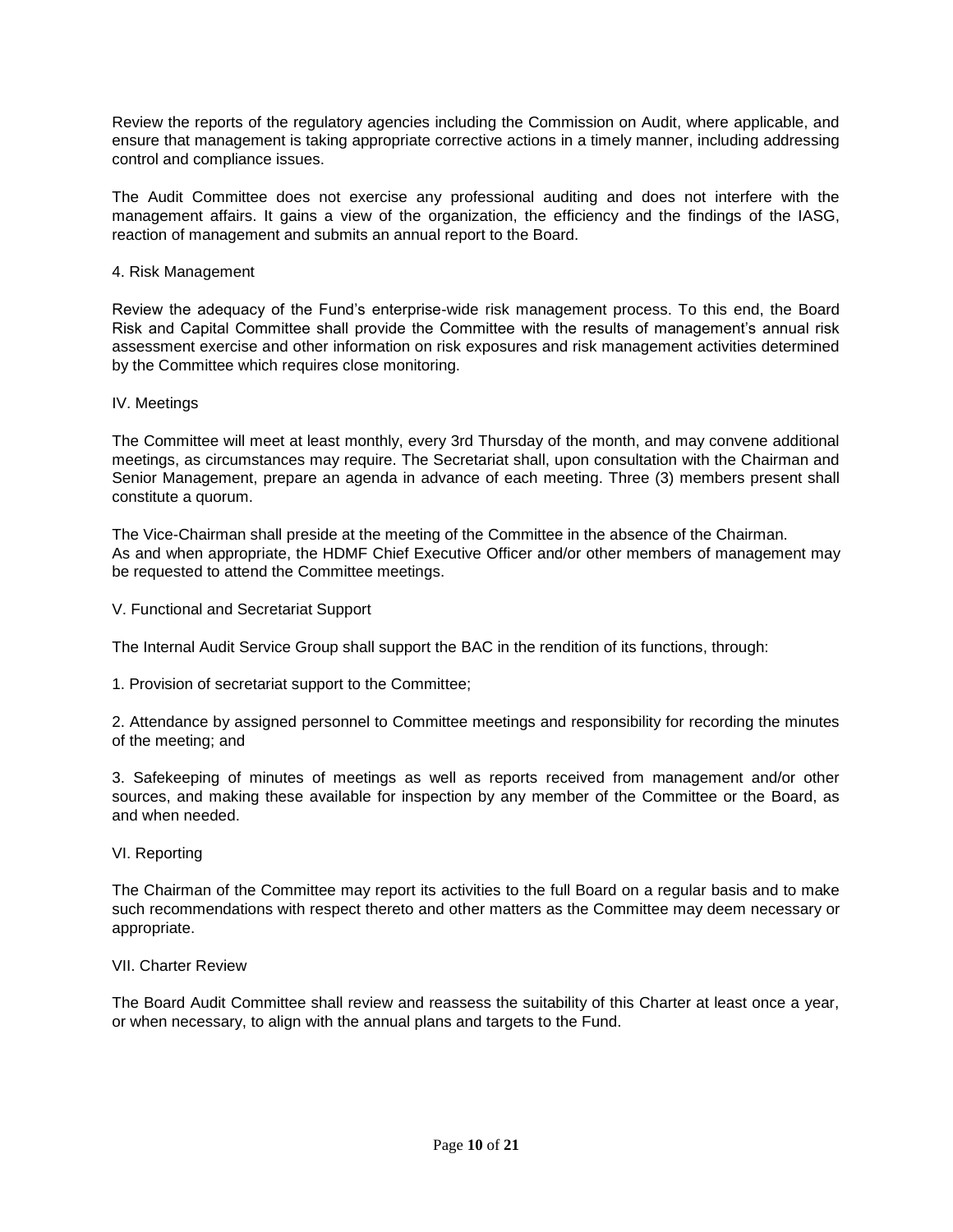Review the reports of the regulatory agencies including the Commission on Audit, where applicable, and ensure that management is taking appropriate corrective actions in a timely manner, including addressing control and compliance issues.

The Audit Committee does not exercise any professional auditing and does not interfere with the management affairs. It gains a view of the organization, the efficiency and the findings of the IASG, reaction of management and submits an annual report to the Board.

### 4. Risk Management

Review the adequacy of the Fund's enterprise-wide risk management process. To this end, the Board Risk and Capital Committee shall provide the Committee with the results of management's annual risk assessment exercise and other information on risk exposures and risk management activities determined by the Committee which requires close monitoring.

### IV. Meetings

The Committee will meet at least monthly, every 3rd Thursday of the month, and may convene additional meetings, as circumstances may require. The Secretariat shall, upon consultation with the Chairman and Senior Management, prepare an agenda in advance of each meeting. Three (3) members present shall constitute a quorum.

The Vice-Chairman shall preside at the meeting of the Committee in the absence of the Chairman. As and when appropriate, the HDMF Chief Executive Officer and/or other members of management may be requested to attend the Committee meetings.

V. Functional and Secretariat Support

The Internal Audit Service Group shall support the BAC in the rendition of its functions, through:

1. Provision of secretariat support to the Committee;

2. Attendance by assigned personnel to Committee meetings and responsibility for recording the minutes of the meeting; and

3. Safekeeping of minutes of meetings as well as reports received from management and/or other sources, and making these available for inspection by any member of the Committee or the Board, as and when needed.

#### VI. Reporting

The Chairman of the Committee may report its activities to the full Board on a regular basis and to make such recommendations with respect thereto and other matters as the Committee may deem necessary or appropriate.

#### VII. Charter Review

The Board Audit Committee shall review and reassess the suitability of this Charter at least once a year, or when necessary, to align with the annual plans and targets to the Fund.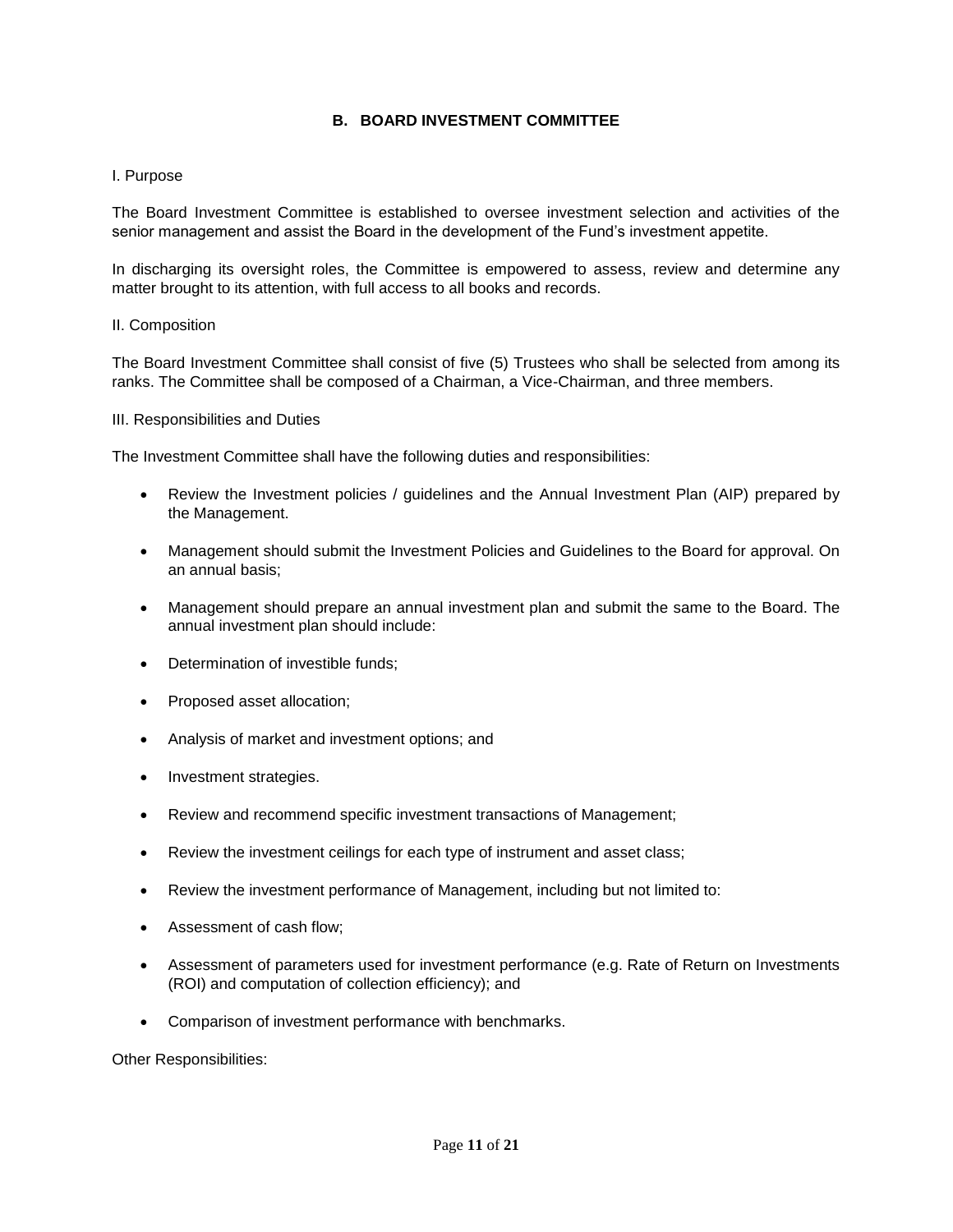## **B. BOARD INVESTMENT COMMITTEE**

### I. Purpose

The Board Investment Committee is established to oversee investment selection and activities of the senior management and assist the Board in the development of the Fund's investment appetite.

In discharging its oversight roles, the Committee is empowered to assess, review and determine any matter brought to its attention, with full access to all books and records.

#### II. Composition

The Board Investment Committee shall consist of five (5) Trustees who shall be selected from among its ranks. The Committee shall be composed of a Chairman, a Vice-Chairman, and three members.

#### III. Responsibilities and Duties

The Investment Committee shall have the following duties and responsibilities:

- Review the Investment policies / guidelines and the Annual Investment Plan (AIP) prepared by the Management.
- Management should submit the Investment Policies and Guidelines to the Board for approval. On an annual basis;
- Management should prepare an annual investment plan and submit the same to the Board. The annual investment plan should include:
- Determination of investible funds;
- Proposed asset allocation;
- Analysis of market and investment options; and
- Investment strategies.
- Review and recommend specific investment transactions of Management;
- Review the investment ceilings for each type of instrument and asset class;
- Review the investment performance of Management, including but not limited to:
- Assessment of cash flow;
- Assessment of parameters used for investment performance (e.g. Rate of Return on Investments (ROI) and computation of collection efficiency); and
- Comparison of investment performance with benchmarks.

Other Responsibilities: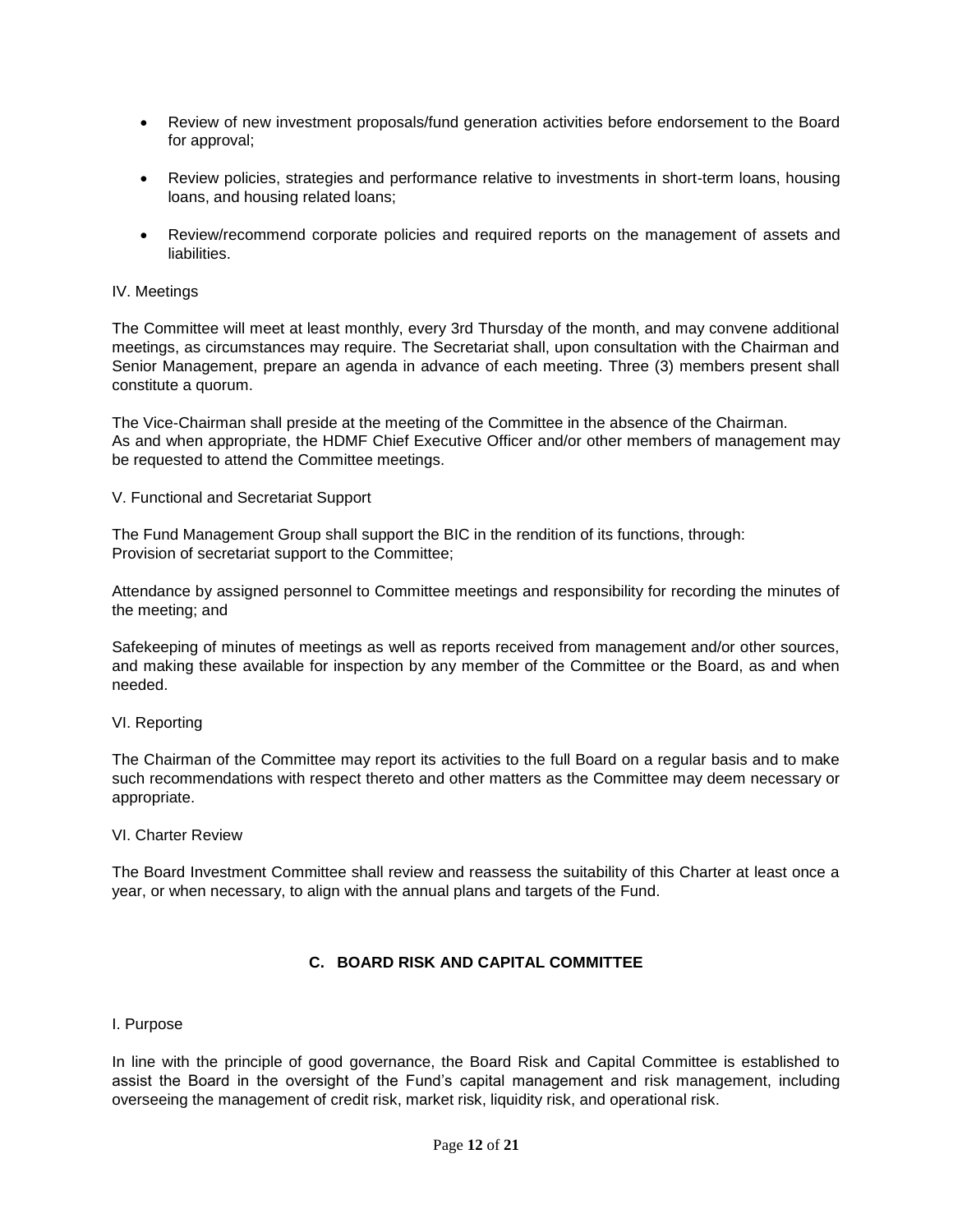- Review of new investment proposals/fund generation activities before endorsement to the Board for approval;
- Review policies, strategies and performance relative to investments in short-term loans, housing loans, and housing related loans;
- Review/recommend corporate policies and required reports on the management of assets and liabilities.

### IV. Meetings

The Committee will meet at least monthly, every 3rd Thursday of the month, and may convene additional meetings, as circumstances may require. The Secretariat shall, upon consultation with the Chairman and Senior Management, prepare an agenda in advance of each meeting. Three (3) members present shall constitute a quorum.

The Vice-Chairman shall preside at the meeting of the Committee in the absence of the Chairman. As and when appropriate, the HDMF Chief Executive Officer and/or other members of management may be requested to attend the Committee meetings.

#### V. Functional and Secretariat Support

The Fund Management Group shall support the BIC in the rendition of its functions, through: Provision of secretariat support to the Committee;

Attendance by assigned personnel to Committee meetings and responsibility for recording the minutes of the meeting; and

Safekeeping of minutes of meetings as well as reports received from management and/or other sources, and making these available for inspection by any member of the Committee or the Board, as and when needed.

#### VI. Reporting

The Chairman of the Committee may report its activities to the full Board on a regular basis and to make such recommendations with respect thereto and other matters as the Committee may deem necessary or appropriate.

#### VI. Charter Review

The Board Investment Committee shall review and reassess the suitability of this Charter at least once a year, or when necessary, to align with the annual plans and targets of the Fund.

## **C. BOARD RISK AND CAPITAL COMMITTEE**

#### I. Purpose

In line with the principle of good governance, the Board Risk and Capital Committee is established to assist the Board in the oversight of the Fund's capital management and risk management, including overseeing the management of credit risk, market risk, liquidity risk, and operational risk.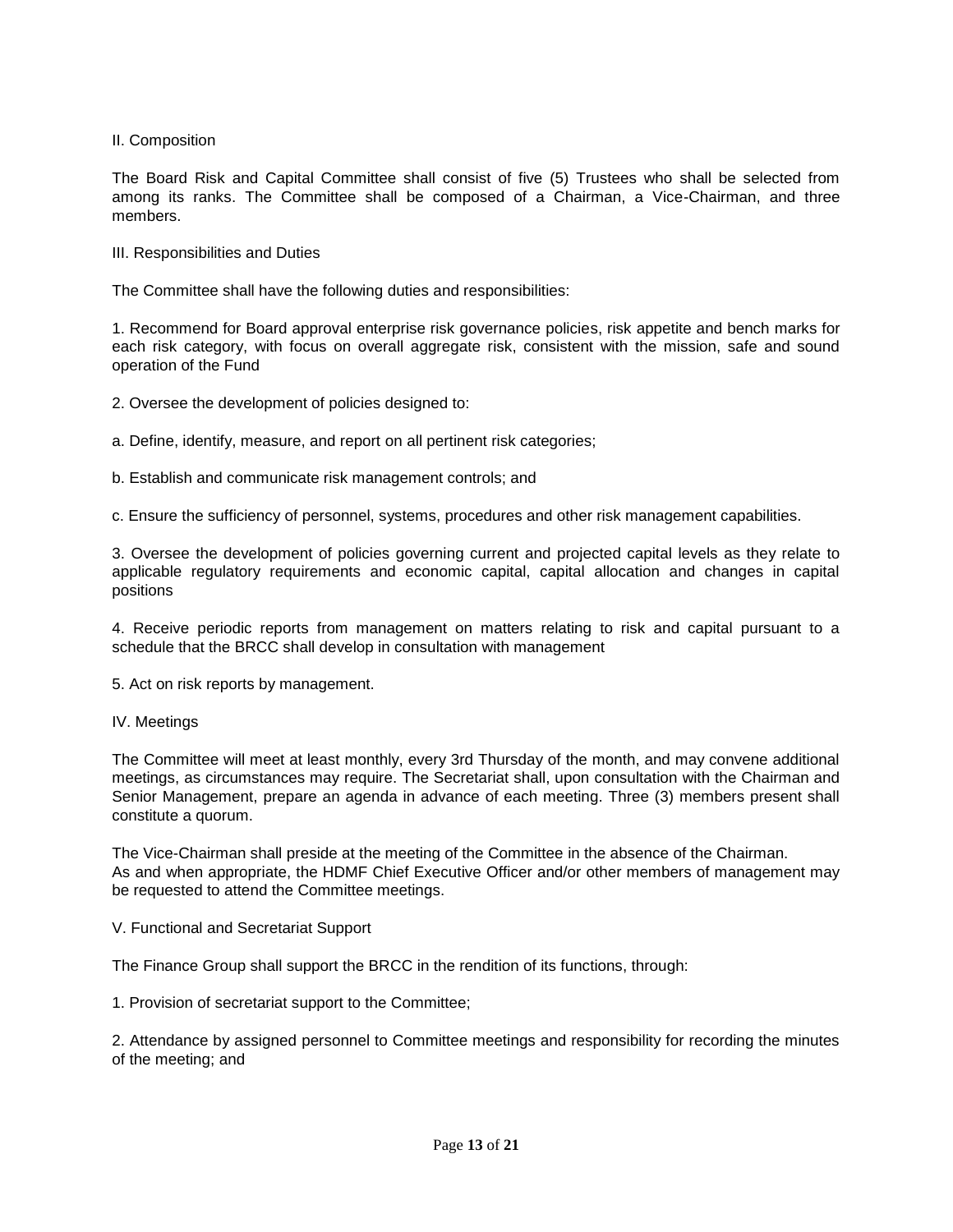## II. Composition

The Board Risk and Capital Committee shall consist of five (5) Trustees who shall be selected from among its ranks. The Committee shall be composed of a Chairman, a Vice-Chairman, and three members.

III. Responsibilities and Duties

The Committee shall have the following duties and responsibilities:

1. Recommend for Board approval enterprise risk governance policies, risk appetite and bench marks for each risk category, with focus on overall aggregate risk, consistent with the mission, safe and sound operation of the Fund

2. Oversee the development of policies designed to:

a. Define, identify, measure, and report on all pertinent risk categories;

b. Establish and communicate risk management controls; and

c. Ensure the sufficiency of personnel, systems, procedures and other risk management capabilities.

3. Oversee the development of policies governing current and projected capital levels as they relate to applicable regulatory requirements and economic capital, capital allocation and changes in capital positions

4. Receive periodic reports from management on matters relating to risk and capital pursuant to a schedule that the BRCC shall develop in consultation with management

5. Act on risk reports by management.

#### IV. Meetings

The Committee will meet at least monthly, every 3rd Thursday of the month, and may convene additional meetings, as circumstances may require. The Secretariat shall, upon consultation with the Chairman and Senior Management, prepare an agenda in advance of each meeting. Three (3) members present shall constitute a quorum.

The Vice-Chairman shall preside at the meeting of the Committee in the absence of the Chairman. As and when appropriate, the HDMF Chief Executive Officer and/or other members of management may be requested to attend the Committee meetings.

V. Functional and Secretariat Support

The Finance Group shall support the BRCC in the rendition of its functions, through:

1. Provision of secretariat support to the Committee;

2. Attendance by assigned personnel to Committee meetings and responsibility for recording the minutes of the meeting; and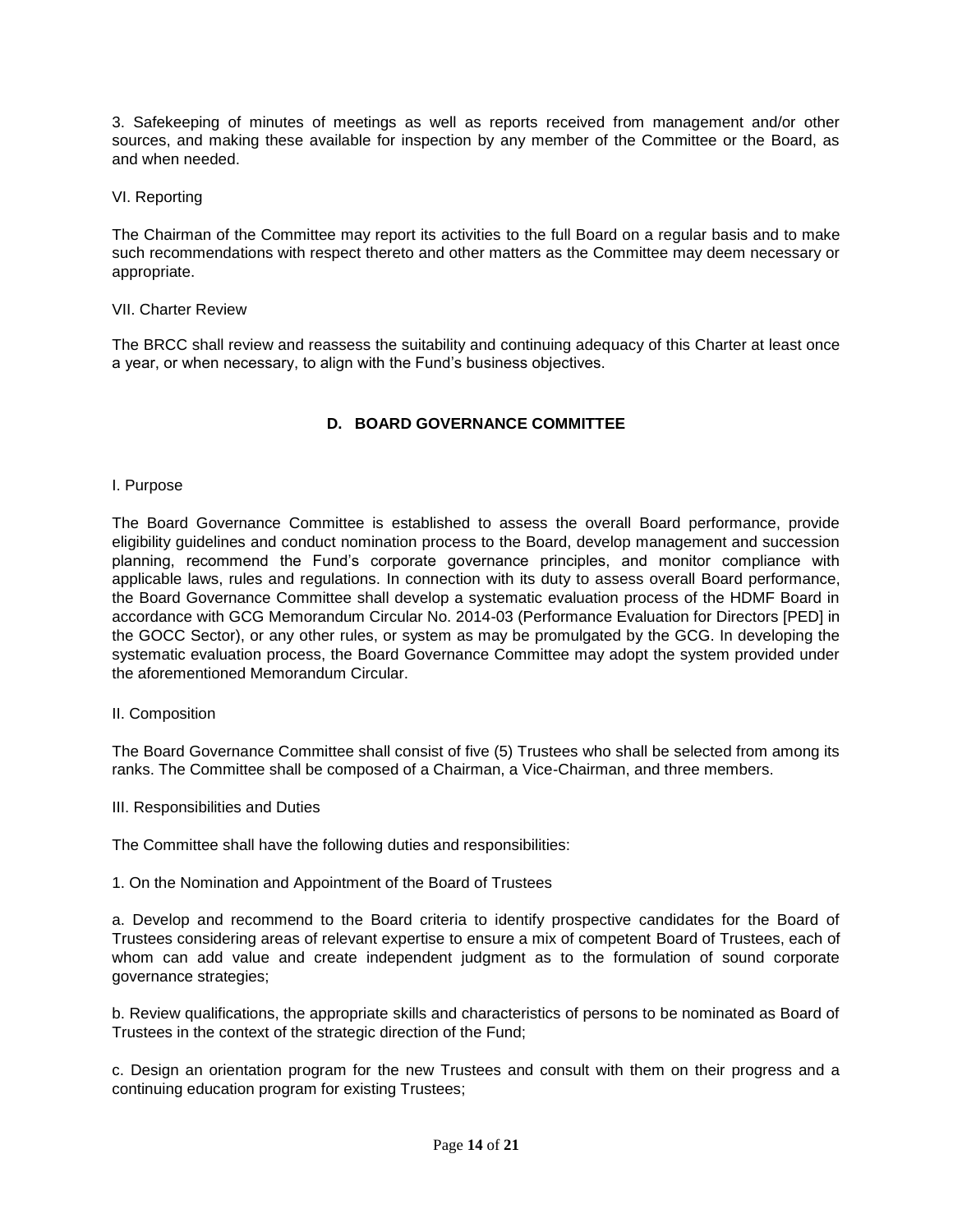3. Safekeeping of minutes of meetings as well as reports received from management and/or other sources, and making these available for inspection by any member of the Committee or the Board, as and when needed.

VI. Reporting

The Chairman of the Committee may report its activities to the full Board on a regular basis and to make such recommendations with respect thereto and other matters as the Committee may deem necessary or appropriate.

### VII. Charter Review

The BRCC shall review and reassess the suitability and continuing adequacy of this Charter at least once a year, or when necessary, to align with the Fund's business objectives.

## **D. BOARD GOVERNANCE COMMITTEE**

### I. Purpose

The Board Governance Committee is established to assess the overall Board performance, provide eligibility guidelines and conduct nomination process to the Board, develop management and succession planning, recommend the Fund's corporate governance principles, and monitor compliance with applicable laws, rules and regulations. In connection with its duty to assess overall Board performance, the Board Governance Committee shall develop a systematic evaluation process of the HDMF Board in accordance with GCG Memorandum Circular No. 2014-03 (Performance Evaluation for Directors [PED] in the GOCC Sector), or any other rules, or system as may be promulgated by the GCG. In developing the systematic evaluation process, the Board Governance Committee may adopt the system provided under the aforementioned Memorandum Circular.

#### II. Composition

The Board Governance Committee shall consist of five (5) Trustees who shall be selected from among its ranks. The Committee shall be composed of a Chairman, a Vice-Chairman, and three members.

III. Responsibilities and Duties

The Committee shall have the following duties and responsibilities:

1. On the Nomination and Appointment of the Board of Trustees

a. Develop and recommend to the Board criteria to identify prospective candidates for the Board of Trustees considering areas of relevant expertise to ensure a mix of competent Board of Trustees, each of whom can add value and create independent judgment as to the formulation of sound corporate governance strategies;

b. Review qualifications, the appropriate skills and characteristics of persons to be nominated as Board of Trustees in the context of the strategic direction of the Fund;

c. Design an orientation program for the new Trustees and consult with them on their progress and a continuing education program for existing Trustees;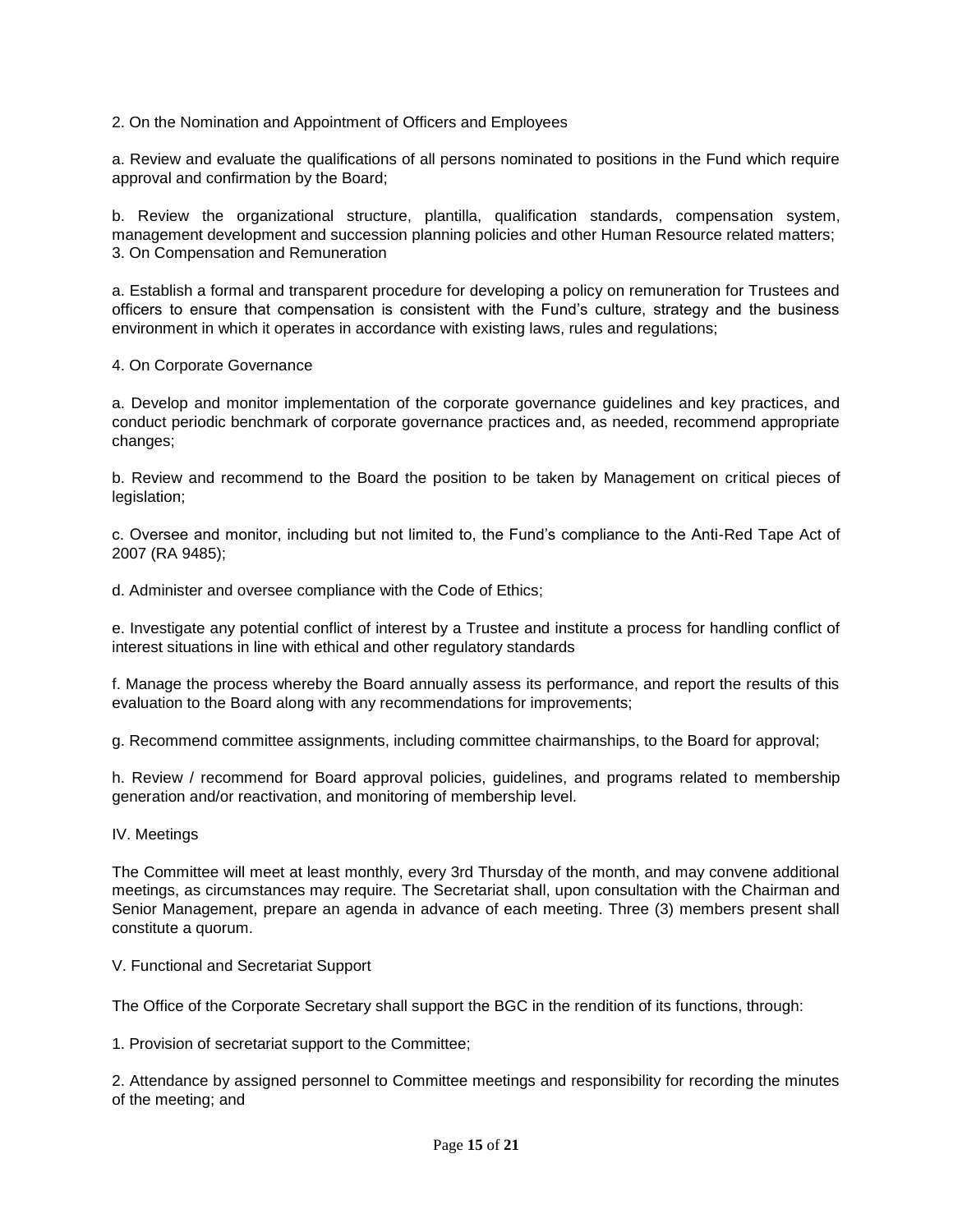2. On the Nomination and Appointment of Officers and Employees

a. Review and evaluate the qualifications of all persons nominated to positions in the Fund which require approval and confirmation by the Board;

b. Review the organizational structure, plantilla, qualification standards, compensation system, management development and succession planning policies and other Human Resource related matters; 3. On Compensation and Remuneration

a. Establish a formal and transparent procedure for developing a policy on remuneration for Trustees and officers to ensure that compensation is consistent with the Fund's culture, strategy and the business environment in which it operates in accordance with existing laws, rules and regulations;

4. On Corporate Governance

a. Develop and monitor implementation of the corporate governance guidelines and key practices, and conduct periodic benchmark of corporate governance practices and, as needed, recommend appropriate changes;

b. Review and recommend to the Board the position to be taken by Management on critical pieces of legislation;

c. Oversee and monitor, including but not limited to, the Fund's compliance to the Anti-Red Tape Act of 2007 (RA 9485);

d. Administer and oversee compliance with the Code of Ethics;

e. Investigate any potential conflict of interest by a Trustee and institute a process for handling conflict of interest situations in line with ethical and other regulatory standards

f. Manage the process whereby the Board annually assess its performance, and report the results of this evaluation to the Board along with any recommendations for improvements;

g. Recommend committee assignments, including committee chairmanships, to the Board for approval;

h. Review / recommend for Board approval policies, guidelines, and programs related to membership generation and/or reactivation, and monitoring of membership level.

#### IV. Meetings

The Committee will meet at least monthly, every 3rd Thursday of the month, and may convene additional meetings, as circumstances may require. The Secretariat shall, upon consultation with the Chairman and Senior Management, prepare an agenda in advance of each meeting. Three (3) members present shall constitute a quorum.

#### V. Functional and Secretariat Support

The Office of the Corporate Secretary shall support the BGC in the rendition of its functions, through:

1. Provision of secretariat support to the Committee;

2. Attendance by assigned personnel to Committee meetings and responsibility for recording the minutes of the meeting; and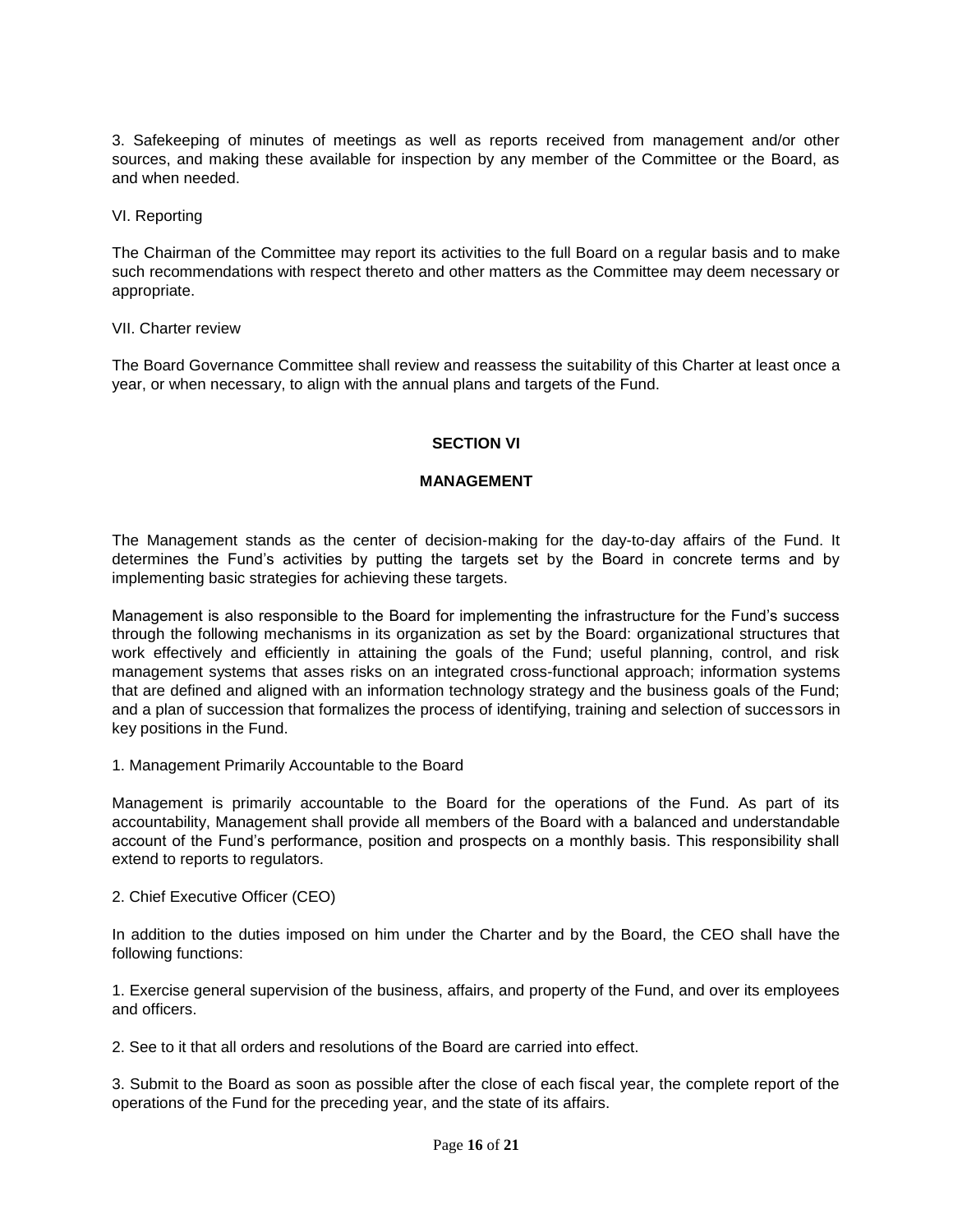3. Safekeeping of minutes of meetings as well as reports received from management and/or other sources, and making these available for inspection by any member of the Committee or the Board, as and when needed.

VI. Reporting

The Chairman of the Committee may report its activities to the full Board on a regular basis and to make such recommendations with respect thereto and other matters as the Committee may deem necessary or appropriate.

VII. Charter review

The Board Governance Committee shall review and reassess the suitability of this Charter at least once a year, or when necessary, to align with the annual plans and targets of the Fund.

## **SECTION VI**

### **MANAGEMENT**

The Management stands as the center of decision-making for the day-to-day affairs of the Fund. It determines the Fund's activities by putting the targets set by the Board in concrete terms and by implementing basic strategies for achieving these targets.

Management is also responsible to the Board for implementing the infrastructure for the Fund's success through the following mechanisms in its organization as set by the Board: organizational structures that work effectively and efficiently in attaining the goals of the Fund; useful planning, control, and risk management systems that asses risks on an integrated cross-functional approach; information systems that are defined and aligned with an information technology strategy and the business goals of the Fund; and a plan of succession that formalizes the process of identifying, training and selection of successors in key positions in the Fund.

1. Management Primarily Accountable to the Board

Management is primarily accountable to the Board for the operations of the Fund. As part of its accountability, Management shall provide all members of the Board with a balanced and understandable account of the Fund's performance, position and prospects on a monthly basis. This responsibility shall extend to reports to regulators.

2. Chief Executive Officer (CEO)

In addition to the duties imposed on him under the Charter and by the Board, the CEO shall have the following functions:

1. Exercise general supervision of the business, affairs, and property of the Fund, and over its employees and officers.

2. See to it that all orders and resolutions of the Board are carried into effect.

3. Submit to the Board as soon as possible after the close of each fiscal year, the complete report of the operations of the Fund for the preceding year, and the state of its affairs.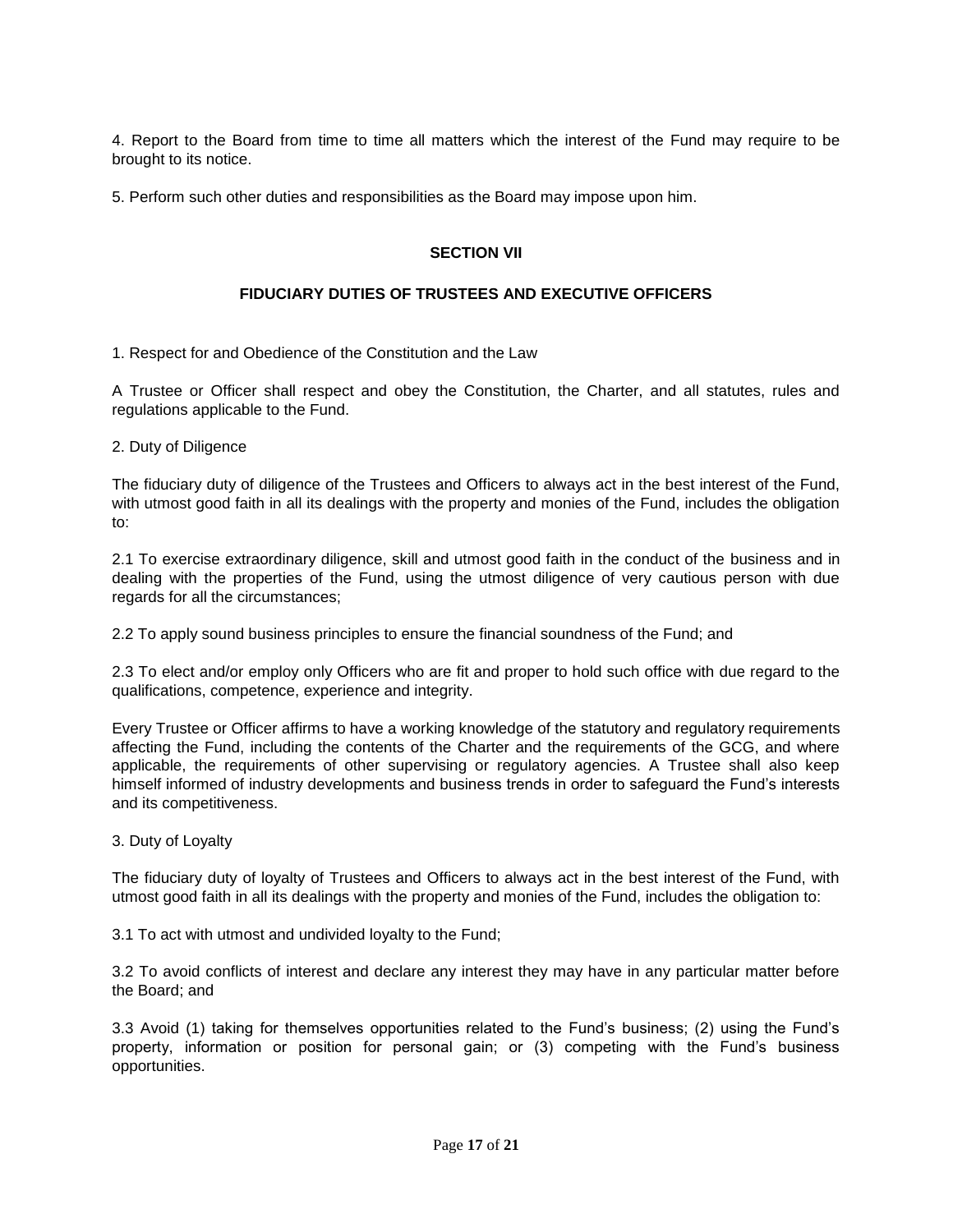4. Report to the Board from time to time all matters which the interest of the Fund may require to be brought to its notice.

5. Perform such other duties and responsibilities as the Board may impose upon him.

## **SECTION VII**

# **FIDUCIARY DUTIES OF TRUSTEES AND EXECUTIVE OFFICERS**

1. Respect for and Obedience of the Constitution and the Law

A Trustee or Officer shall respect and obey the Constitution, the Charter, and all statutes, rules and regulations applicable to the Fund.

2. Duty of Diligence

The fiduciary duty of diligence of the Trustees and Officers to always act in the best interest of the Fund, with utmost good faith in all its dealings with the property and monies of the Fund, includes the obligation to:

2.1 To exercise extraordinary diligence, skill and utmost good faith in the conduct of the business and in dealing with the properties of the Fund, using the utmost diligence of very cautious person with due regards for all the circumstances;

2.2 To apply sound business principles to ensure the financial soundness of the Fund; and

2.3 To elect and/or employ only Officers who are fit and proper to hold such office with due regard to the qualifications, competence, experience and integrity.

Every Trustee or Officer affirms to have a working knowledge of the statutory and regulatory requirements affecting the Fund, including the contents of the Charter and the requirements of the GCG, and where applicable, the requirements of other supervising or regulatory agencies. A Trustee shall also keep himself informed of industry developments and business trends in order to safeguard the Fund's interests and its competitiveness.

3. Duty of Loyalty

The fiduciary duty of loyalty of Trustees and Officers to always act in the best interest of the Fund, with utmost good faith in all its dealings with the property and monies of the Fund, includes the obligation to:

3.1 To act with utmost and undivided loyalty to the Fund;

3.2 To avoid conflicts of interest and declare any interest they may have in any particular matter before the Board; and

3.3 Avoid (1) taking for themselves opportunities related to the Fund's business; (2) using the Fund's property, information or position for personal gain; or (3) competing with the Fund's business opportunities.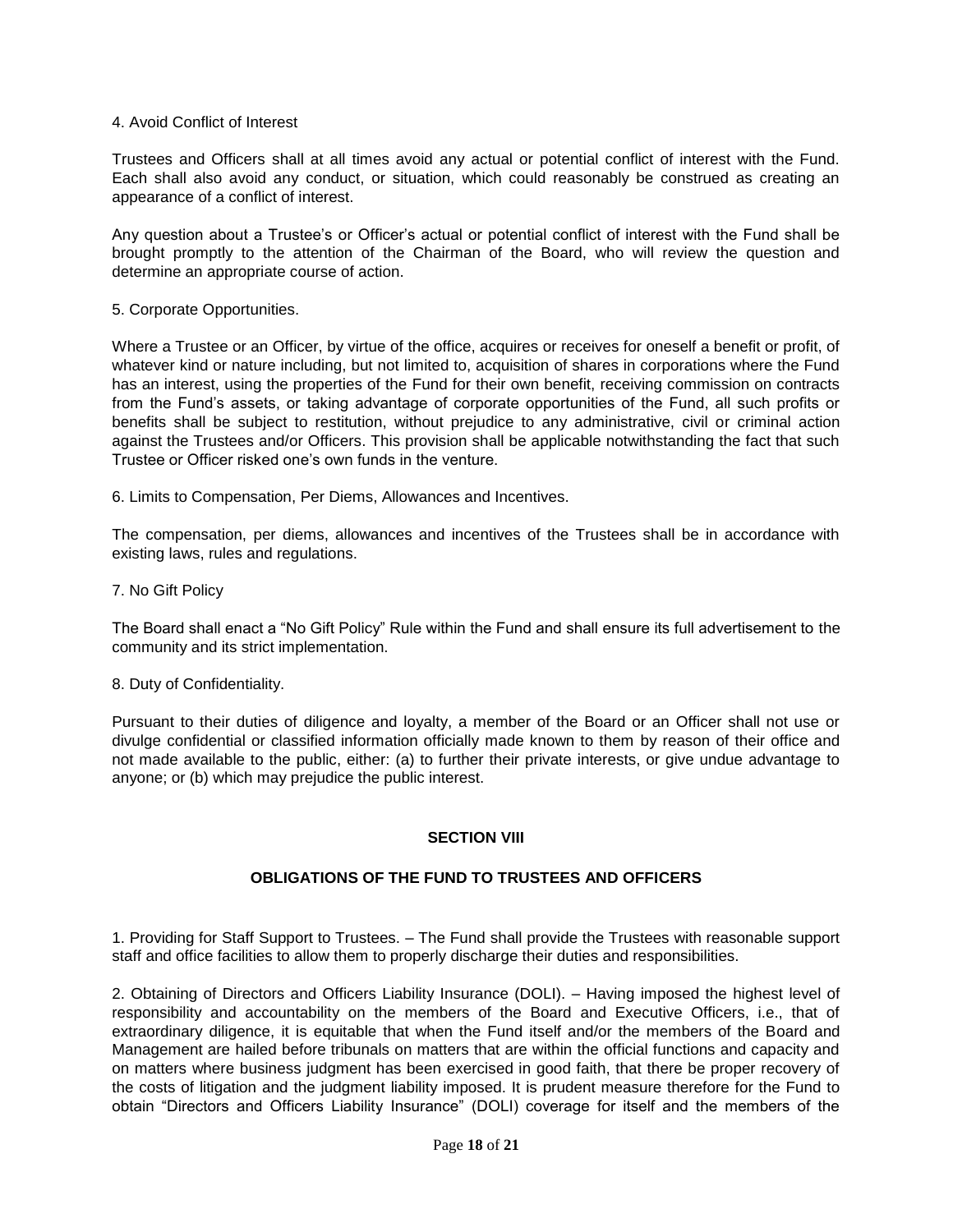#### 4. Avoid Conflict of Interest

Trustees and Officers shall at all times avoid any actual or potential conflict of interest with the Fund. Each shall also avoid any conduct, or situation, which could reasonably be construed as creating an appearance of a conflict of interest.

Any question about a Trustee's or Officer's actual or potential conflict of interest with the Fund shall be brought promptly to the attention of the Chairman of the Board, who will review the question and determine an appropriate course of action.

5. Corporate Opportunities.

Where a Trustee or an Officer, by virtue of the office, acquires or receives for oneself a benefit or profit, of whatever kind or nature including, but not limited to, acquisition of shares in corporations where the Fund has an interest, using the properties of the Fund for their own benefit, receiving commission on contracts from the Fund's assets, or taking advantage of corporate opportunities of the Fund, all such profits or benefits shall be subject to restitution, without prejudice to any administrative, civil or criminal action against the Trustees and/or Officers. This provision shall be applicable notwithstanding the fact that such Trustee or Officer risked one's own funds in the venture.

6. Limits to Compensation, Per Diems, Allowances and Incentives.

The compensation, per diems, allowances and incentives of the Trustees shall be in accordance with existing laws, rules and regulations.

7. No Gift Policy

The Board shall enact a "No Gift Policy" Rule within the Fund and shall ensure its full advertisement to the community and its strict implementation.

#### 8. Duty of Confidentiality.

Pursuant to their duties of diligence and loyalty, a member of the Board or an Officer shall not use or divulge confidential or classified information officially made known to them by reason of their office and not made available to the public, either: (a) to further their private interests, or give undue advantage to anyone; or (b) which may prejudice the public interest.

#### **SECTION VIII**

## **OBLIGATIONS OF THE FUND TO TRUSTEES AND OFFICERS**

1. Providing for Staff Support to Trustees. – The Fund shall provide the Trustees with reasonable support staff and office facilities to allow them to properly discharge their duties and responsibilities.

2. Obtaining of Directors and Officers Liability Insurance (DOLI). – Having imposed the highest level of responsibility and accountability on the members of the Board and Executive Officers, i.e., that of extraordinary diligence, it is equitable that when the Fund itself and/or the members of the Board and Management are hailed before tribunals on matters that are within the official functions and capacity and on matters where business judgment has been exercised in good faith, that there be proper recovery of the costs of litigation and the judgment liability imposed. It is prudent measure therefore for the Fund to obtain "Directors and Officers Liability Insurance" (DOLI) coverage for itself and the members of the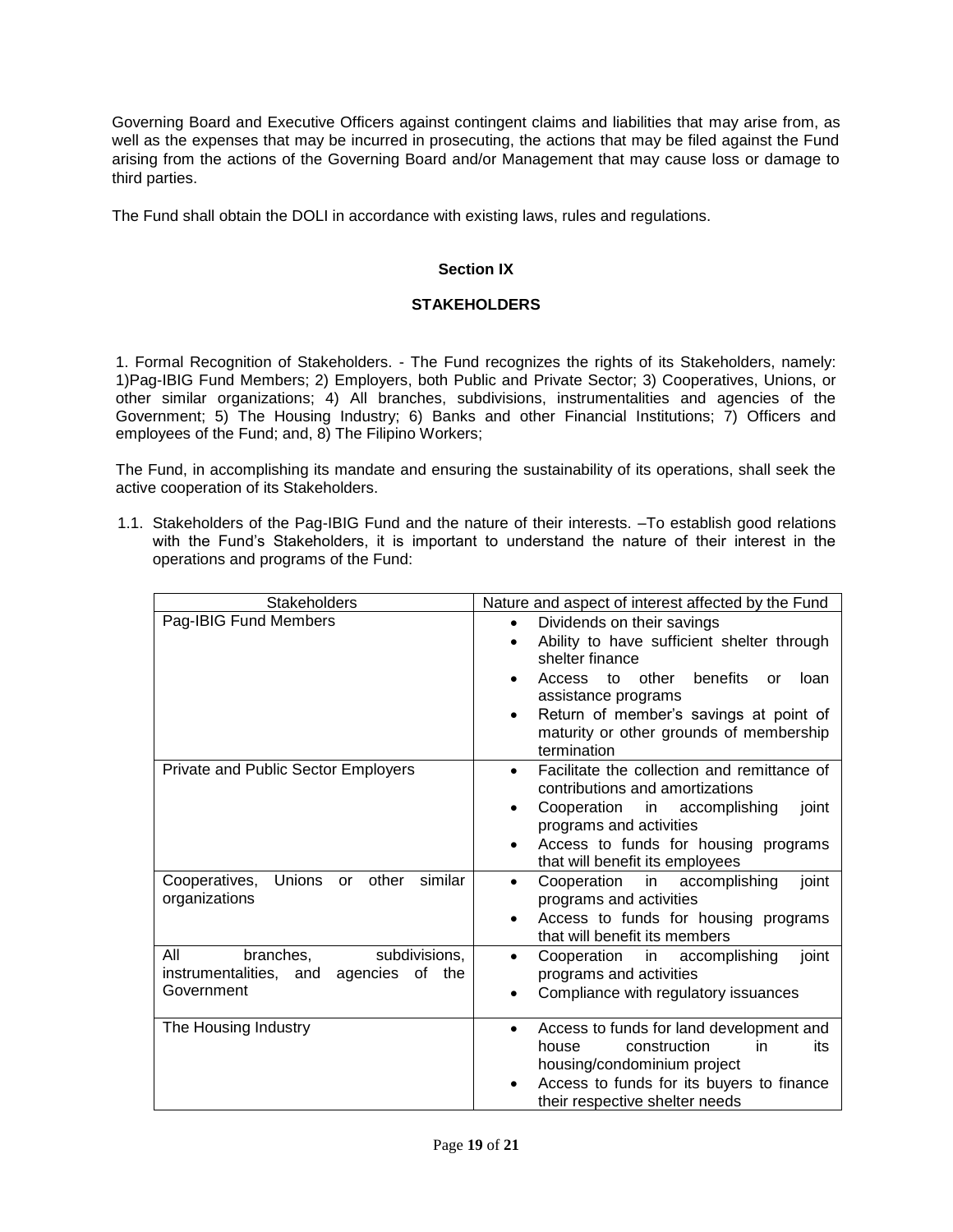Governing Board and Executive Officers against contingent claims and liabilities that may arise from, as well as the expenses that may be incurred in prosecuting, the actions that may be filed against the Fund arising from the actions of the Governing Board and/or Management that may cause loss or damage to third parties.

The Fund shall obtain the DOLI in accordance with existing laws, rules and regulations.

# **Section IX**

## **STAKEHOLDERS**

1. Formal Recognition of Stakeholders. - The Fund recognizes the rights of its Stakeholders, namely: 1)Pag-IBIG Fund Members; 2) Employers, both Public and Private Sector; 3) Cooperatives, Unions, or other similar organizations; 4) All branches, subdivisions, instrumentalities and agencies of the Government; 5) The Housing Industry; 6) Banks and other Financial Institutions; 7) Officers and employees of the Fund; and, 8) The Filipino Workers;

The Fund, in accomplishing its mandate and ensuring the sustainability of its operations, shall seek the active cooperation of its Stakeholders.

1.1. Stakeholders of the Pag-IBIG Fund and the nature of their interests. –To establish good relations with the Fund's Stakeholders, it is important to understand the nature of their interest in the operations and programs of the Fund:

| <b>Stakeholders</b>                                                                       | Nature and aspect of interest affected by the Fund                                                                                                                                                                                                                                    |
|-------------------------------------------------------------------------------------------|---------------------------------------------------------------------------------------------------------------------------------------------------------------------------------------------------------------------------------------------------------------------------------------|
| Pag-IBIG Fund Members                                                                     | Dividends on their savings<br>$\bullet$<br>Ability to have sufficient shelter through<br>٠<br>shelter finance<br>to other benefits<br>Access<br>loan<br>or<br>assistance programs<br>Return of member's savings at point of<br>maturity or other grounds of membership<br>termination |
| <b>Private and Public Sector Employers</b>                                                | Facilitate the collection and remittance of<br>$\bullet$<br>contributions and amortizations<br>Cooperation in accomplishing<br>joint<br>programs and activities<br>Access to funds for housing programs<br>that will benefit its employees                                            |
| similar<br>Cooperatives,<br>Unions or<br>other<br>organizations                           | Cooperation in accomplishing<br>joint<br>$\bullet$<br>programs and activities<br>Access to funds for housing programs<br>that will benefit its members                                                                                                                                |
| subdivisions,<br>All<br>branches,<br>instrumentalities, and agencies of the<br>Government | Cooperation in<br>accomplishing<br>joint<br>٠<br>programs and activities<br>Compliance with regulatory issuances                                                                                                                                                                      |
| The Housing Industry                                                                      | Access to funds for land development and<br>$\bullet$<br>construction<br>in<br>house<br>its<br>housing/condominium project<br>Access to funds for its buyers to finance<br>their respective shelter needs                                                                             |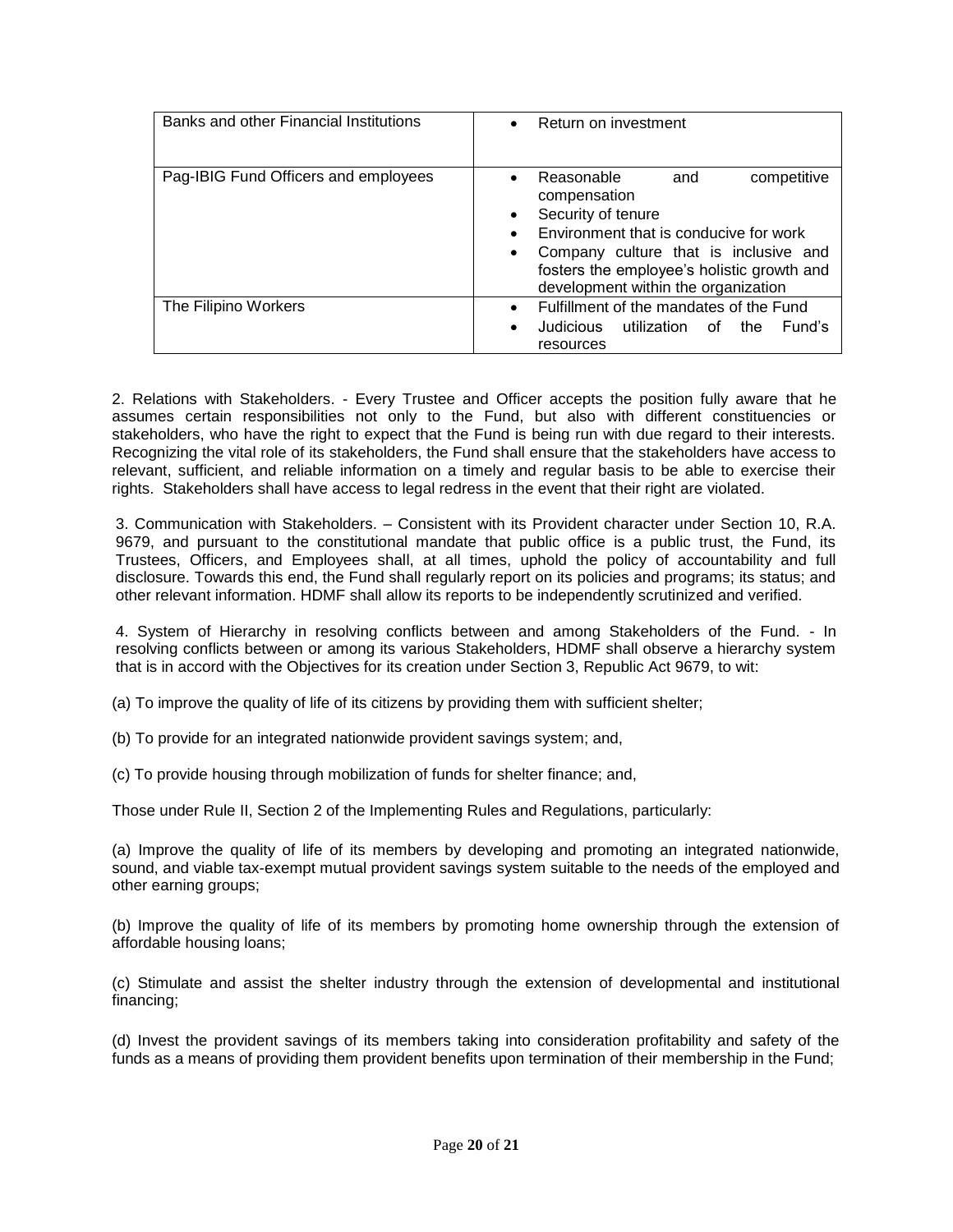| Banks and other Financial Institutions | Return on investment<br>$\bullet$                                                                                                                                                                                                              |
|----------------------------------------|------------------------------------------------------------------------------------------------------------------------------------------------------------------------------------------------------------------------------------------------|
| Pag-IBIG Fund Officers and employees   | Reasonable<br>competitive<br>and<br>compensation<br>Security of tenure<br>Environment that is conducive for work<br>Company culture that is inclusive and<br>fosters the employee's holistic growth and<br>development within the organization |
| The Filipino Workers                   | Fulfillment of the mandates of the Fund<br>$\bullet$<br>Judicious<br>utilization of<br>Fund's<br>the<br>$\bullet$<br>resources                                                                                                                 |

2. Relations with Stakeholders. - Every Trustee and Officer accepts the position fully aware that he assumes certain responsibilities not only to the Fund, but also with different constituencies or stakeholders, who have the right to expect that the Fund is being run with due regard to their interests. Recognizing the vital role of its stakeholders, the Fund shall ensure that the stakeholders have access to relevant, sufficient, and reliable information on a timely and regular basis to be able to exercise their rights. Stakeholders shall have access to legal redress in the event that their right are violated.

3. Communication with Stakeholders. – Consistent with its Provident character under Section 10, R.A. 9679, and pursuant to the constitutional mandate that public office is a public trust, the Fund, its Trustees, Officers, and Employees shall, at all times, uphold the policy of accountability and full disclosure. Towards this end, the Fund shall regularly report on its policies and programs; its status; and other relevant information. HDMF shall allow its reports to be independently scrutinized and verified.

4. System of Hierarchy in resolving conflicts between and among Stakeholders of the Fund. - In resolving conflicts between or among its various Stakeholders, HDMF shall observe a hierarchy system that is in accord with the Objectives for its creation under Section 3, Republic Act 9679, to wit:

(a) To improve the quality of life of its citizens by providing them with sufficient shelter;

(b) To provide for an integrated nationwide provident savings system; and,

(c) To provide housing through mobilization of funds for shelter finance; and,

Those under Rule II, Section 2 of the Implementing Rules and Regulations, particularly:

(a) Improve the quality of life of its members by developing and promoting an integrated nationwide, sound, and viable tax-exempt mutual provident savings system suitable to the needs of the employed and other earning groups;

(b) Improve the quality of life of its members by promoting home ownership through the extension of affordable housing loans;

(c) Stimulate and assist the shelter industry through the extension of developmental and institutional financing;

(d) Invest the provident savings of its members taking into consideration profitability and safety of the funds as a means of providing them provident benefits upon termination of their membership in the Fund;